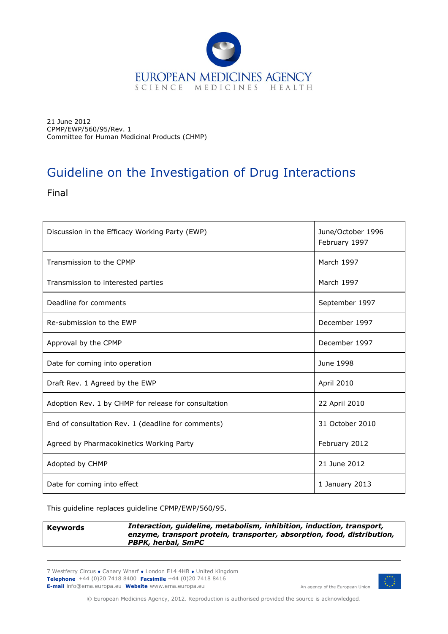

21 June 2012 CPMP/EWP/560/95/Rev. 1 Committee for Human Medicinal Products (CHMP)

# Guideline on the Investigation of Drug Interactions

Final

| Discussion in the Efficacy Working Party (EWP)       | June/October 1996<br>February 1997 |  |  |
|------------------------------------------------------|------------------------------------|--|--|
| Transmission to the CPMP                             | March 1997                         |  |  |
| Transmission to interested parties                   | March 1997                         |  |  |
| Deadline for comments                                | September 1997                     |  |  |
| Re-submission to the EWP                             | December 1997                      |  |  |
| Approval by the CPMP                                 | December 1997                      |  |  |
| Date for coming into operation                       | June 1998                          |  |  |
| Draft Rev. 1 Agreed by the EWP                       | April 2010                         |  |  |
| Adoption Rev. 1 by CHMP for release for consultation | 22 April 2010                      |  |  |
| End of consultation Rev. 1 (deadline for comments)   | 31 October 2010                    |  |  |
| Agreed by Pharmacokinetics Working Party             | February 2012                      |  |  |
| Adopted by CHMP                                      | 21 June 2012                       |  |  |
| Date for coming into effect                          | 1 January 2013                     |  |  |

This guideline replaces guideline CPMP/EWP/560/95.

| Keywords | Interaction, guideline, metabolism, inhibition, induction, transport,<br>enzyme, transport protein, transporter, absorption, food, distribution,<br>PBPK, herbal, SmPC |
|----------|------------------------------------------------------------------------------------------------------------------------------------------------------------------------|
|          |                                                                                                                                                                        |

7 Westferry Circus **●** Canary Wharf **●** London E14 4HB **●** United Kingdom **Telephone** +44 (0)20 7418 8400 **Facsimile** +44 (0)20 7418 8416 **E-mail** info@ema.europa.eu **Website** www.ema.europa.eu



© European Medicines Agency, 2012. Reproduction is authorised provided the source is acknowledged.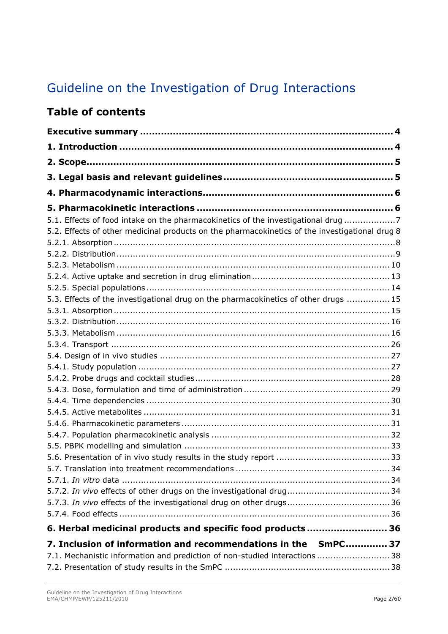# Guideline on the Investigation of Drug Interactions

## **Table of contents**

| 5.1. Effects of food intake on the pharmacokinetics of the investigational drug 7              |
|------------------------------------------------------------------------------------------------|
| 5.2. Effects of other medicinal products on the pharmacokinetics of the investigational drug 8 |
|                                                                                                |
|                                                                                                |
|                                                                                                |
|                                                                                                |
|                                                                                                |
| 5.3. Effects of the investigational drug on the pharmacokinetics of other drugs  15            |
|                                                                                                |
|                                                                                                |
|                                                                                                |
|                                                                                                |
|                                                                                                |
|                                                                                                |
|                                                                                                |
|                                                                                                |
|                                                                                                |
|                                                                                                |
|                                                                                                |
|                                                                                                |
|                                                                                                |
|                                                                                                |
|                                                                                                |
|                                                                                                |
|                                                                                                |
|                                                                                                |
|                                                                                                |
| 6. Herbal medicinal products and specific food products 36                                     |
| 7. Inclusion of information and recommendations in the SmPC 37                                 |
| 7.1. Mechanistic information and prediction of non-studied interactions  38                    |
|                                                                                                |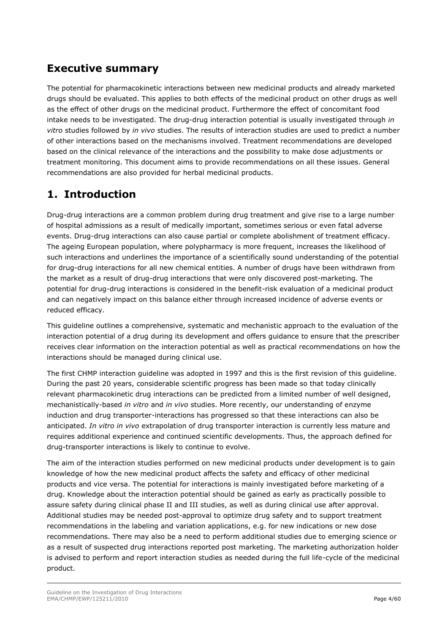## <span id="page-3-0"></span>**Executive summary**

The potential for pharmacokinetic interactions between new medicinal products and already marketed drugs should be evaluated. This applies to both effects of the medicinal product on other drugs as well as the effect of other drugs on the medicinal product. Furthermore the effect of concomitant food intake needs to be investigated. The drug-drug interaction potential is usually investigated through *in vitro* studies followed by *in vivo* studies. The results of interaction studies are used to predict a number of other interactions based on the mechanisms involved. Treatment recommendations are developed based on the clinical relevance of the interactions and the possibility to make dose adjustments or treatment monitoring. This document aims to provide recommendations on all these issues. General recommendations are also provided for herbal medicinal products.

## <span id="page-3-1"></span>**1. Introduction**

Drug-drug interactions are a common problem during drug treatment and give rise to a large number of hospital admissions as a result of medically important, sometimes serious or even fatal adverse events. Drug-drug interactions can also cause partial or complete abolishment of treatment efficacy. The ageing European population, where polypharmacy is more frequent, increases the likelihood of such interactions and underlines the importance of a scientifically sound understanding of the potential for drug-drug interactions for all new chemical entities. A number of drugs have been withdrawn from the market as a result of drug-drug interactions that were only discovered post-marketing. The potential for drug-drug interactions is considered in the benefit-risk evaluation of a medicinal product and can negatively impact on this balance either through increased incidence of adverse events or reduced efficacy.

This guideline outlines a comprehensive, systematic and mechanistic approach to the evaluation of the interaction potential of a drug during its development and offers guidance to ensure that the prescriber receives clear information on the interaction potential as well as practical recommendations on how the interactions should be managed during clinical use.

The first CHMP interaction guideline was adopted in 1997 and this is the first revision of this guideline. During the past 20 years, considerable scientific progress has been made so that today clinically relevant pharmacokinetic drug interactions can be predicted from a limited number of well designed, mechanistically-based *in vitro* and *in vivo* studies. More recently, our understanding of enzyme induction and drug transporter-interactions has progressed so that these interactions can also be anticipated. *In vitro in vivo* extrapolation of drug transporter interaction is currently less mature and requires additional experience and continued scientific developments. Thus, the approach defined for drug-transporter interactions is likely to continue to evolve.

The aim of the interaction studies performed on new medicinal products under development is to gain knowledge of how the new medicinal product affects the safety and efficacy of other medicinal products and vice versa. The potential for interactions is mainly investigated before marketing of a drug. Knowledge about the interaction potential should be gained as early as practically possible to assure safety during clinical phase II and III studies, as well as during clinical use after approval. Additional studies may be needed post-approval to optimize drug safety and to support treatment recommendations in the labeling and variation applications, e.g. for new indications or new dose recommendations. There may also be a need to perform additional studies due to emerging science or as a result of suspected drug interactions reported post marketing. The marketing authorization holder is advised to perform and report interaction studies as needed during the full life-cycle of the medicinal product.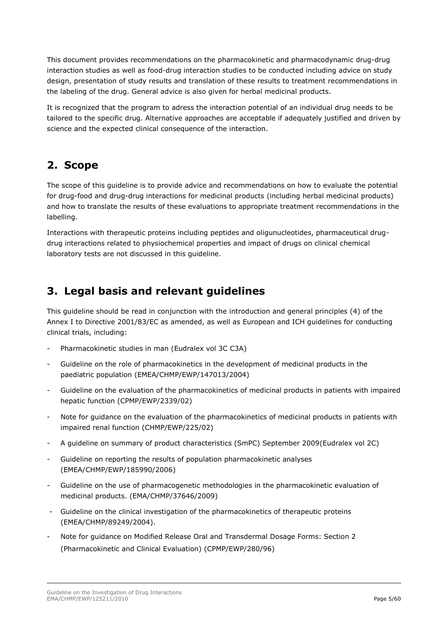This document provides recommendations on the pharmacokinetic and pharmacodynamic drug-drug interaction studies as well as food-drug interaction studies to be conducted including advice on study design, presentation of study results and translation of these results to treatment recommendations in the labeling of the drug. General advice is also given for herbal medicinal products.

It is recognized that the program to adress the interaction potential of an individual drug needs to be tailored to the specific drug. Alternative approaches are acceptable if adequately justified and driven by science and the expected clinical consequence of the interaction.

## <span id="page-4-0"></span>**2. Scope**

The scope of this guideline is to provide advice and recommendations on how to evaluate the potential for drug-food and drug-drug interactions for medicinal products (including herbal medicinal products) and how to translate the results of these evaluations to appropriate treatment recommendations in the labelling.

Interactions with therapeutic proteins including peptides and oligunucleotides, pharmaceutical drugdrug interactions related to physiochemical properties and impact of drugs on clinical chemical laboratory tests are not discussed in this guideline.

## <span id="page-4-1"></span>**3. Legal basis and relevant guidelines**

This guideline should be read in conjunction with the introduction and general principles (4) of the Annex I to Directive 2001/83/EC as amended, as well as European and ICH guidelines for conducting clinical trials, including:

- Pharmacokinetic studies in man (Eudralex vol 3C C3A)
- Guideline on the role of pharmacokinetics in the development of medicinal products in the paediatric population (EMEA/CHMP/EWP/147013/2004)
- Guideline on the evaluation of the pharmacokinetics of medicinal products in patients with impaired hepatic function (CPMP/EWP/2339/02)
- Note for guidance on the evaluation of the pharmacokinetics of medicinal products in patients with impaired renal function (CHMP/EWP/225/02)
- A guideline on summary of product characteristics (SmPC) September 2009(Eudralex vol 2C)
- Guideline on reporting the results of population pharmacokinetic analyses (EMEA/CHMP/EWP/185990/2006)
- Guideline on the use of pharmacogenetic methodologies in the pharmacokinetic evaluation of medicinal products. (EMA/CHMP/37646/2009)
- Guideline on the clinical investigation of the pharmacokinetics of therapeutic proteins (EMEA/CHMP/89249/2004).
- Note for guidance on Modified Release Oral and Transdermal Dosage Forms: Section 2 (Pharmacokinetic and Clinical Evaluation) (CPMP/EWP/280/96)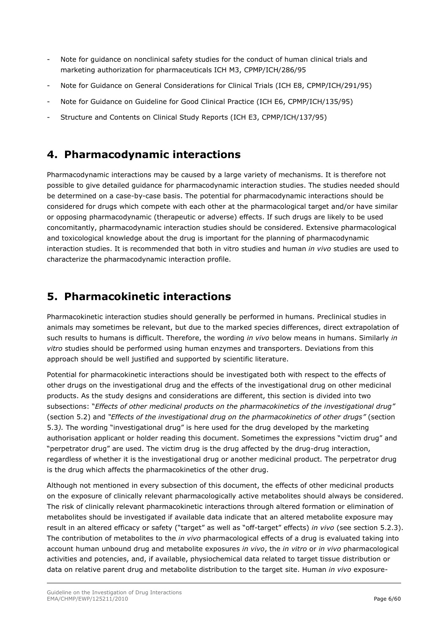- Note for guidance on nonclinical safety studies for the conduct of human clinical trials and marketing authorization for pharmaceuticals ICH M3, CPMP/ICH/286/95
- Note for Guidance on General Considerations for Clinical Trials (ICH E8, CPMP/ICH/291/95)
- Note for Guidance on Guideline for Good Clinical Practice (ICH E6, CPMP/ICH/135/95)
- Structure and Contents on Clinical Study Reports (ICH E3, CPMP/ICH/137/95)

## <span id="page-5-0"></span>**4. Pharmacodynamic interactions**

Pharmacodynamic interactions may be caused by a large variety of mechanisms. It is therefore not possible to give detailed guidance for pharmacodynamic interaction studies. The studies needed should be determined on a case-by-case basis. The potential for pharmacodynamic interactions should be considered for drugs which compete with each other at the pharmacological target and/or have similar or opposing pharmacodynamic (therapeutic or adverse) effects. If such drugs are likely to be used concomitantly, pharmacodynamic interaction studies should be considered. Extensive pharmacological and toxicological knowledge about the drug is important for the planning of pharmacodynamic interaction studies. It is recommended that both in vitro studies and human *in vivo* studies are used to characterize the pharmacodynamic interaction profile.

## <span id="page-5-1"></span>**5. Pharmacokinetic interactions**

Pharmacokinetic interaction studies should generally be performed in humans. Preclinical studies in animals may sometimes be relevant, but due to the marked species differences, direct extrapolation of such results to humans is difficult. Therefore, the wording *in vivo* below means in humans. Similarly *in vitro* studies should be performed using human enzymes and transporters. Deviations from this approach should be well justified and supported by scientific literature.

Potential for pharmacokinetic interactions should be investigated both with respect to the effects of other drugs on the investigational drug and the effects of the investigational drug on other medicinal products. As the study designs and considerations are different, this section is divided into two subsections: "*Effects of other medicinal products on the pharmacokinetics of the investigational drug"* (section 5.2) and *"Effects of the investigational drug on the pharmacokinetics of other drugs"* (section 5.3*).* The wording "investigational drug" is here used for the drug developed by the marketing authorisation applicant or holder reading this document. Sometimes the expressions "victim drug" and "perpetrator drug" are used. The victim drug is the drug affected by the drug-drug interaction, regardless of whether it is the investigational drug or another medicinal product. The perpetrator drug is the drug which affects the pharmacokinetics of the other drug.

Although not mentioned in every subsection of this document, the effects of other medicinal products on the exposure of clinically relevant pharmacologically active metabolites should always be considered. The risk of clinically relevant pharmacokinetic interactions through altered formation or elimination of metabolites should be investigated if available data indicate that an altered metabolite exposure may result in an altered efficacy or safety ("target" as well as "off-target" effects) *in vivo* (see section 5.2.3). The contribution of metabolites to the *in vivo* pharmacological effects of a drug is evaluated taking into account human unbound drug and metabolite exposures *in vivo*, the *in vitro* or *in vivo* pharmacological activities and potencies, and, if available, physiochemical data related to target tissue distribution or data on relative parent drug and metabolite distribution to the target site. Human *in vivo* exposure-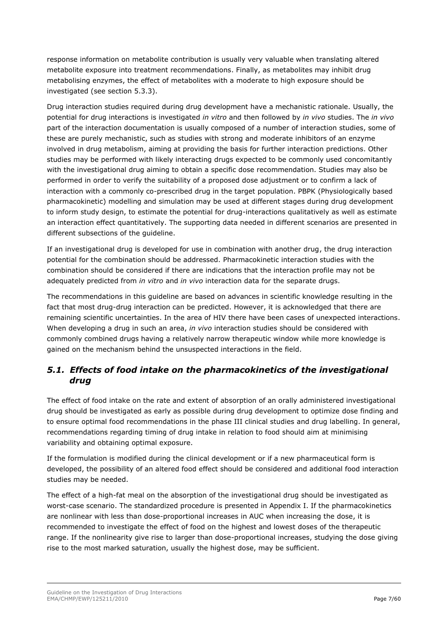response information on metabolite contribution is usually very valuable when translating altered metabolite exposure into treatment recommendations. Finally, as metabolites may inhibit drug metabolising enzymes, the effect of metabolites with a moderate to high exposure should be investigated (see section 5.3.3).

Drug interaction studies required during drug development have a mechanistic rationale. Usually, the potential for drug interactions is investigated *in vitro* and then followed by *in vivo* studies. The *in vivo* part of the interaction documentation is usually composed of a number of interaction studies, some of these are purely mechanistic, such as studies with strong and moderate inhibitors of an enzyme involved in drug metabolism, aiming at providing the basis for further interaction predictions. Other studies may be performed with likely interacting drugs expected to be commonly used concomitantly with the investigational drug aiming to obtain a specific dose recommendation. Studies may also be performed in order to verify the suitability of a proposed dose adjustment or to confirm a lack of interaction with a commonly co-prescribed drug in the target population. PBPK (Physiologically based pharmacokinetic) modelling and simulation may be used at different stages during drug development to inform study design, to estimate the potential for drug-interactions qualitatively as well as estimate an interaction effect quantitatively. The supporting data needed in different scenarios are presented in different subsections of the guideline.

If an investigational drug is developed for use in combination with another drug, the drug interaction potential for the combination should be addressed. Pharmacokinetic interaction studies with the combination should be considered if there are indications that the interaction profile may not be adequately predicted from *in vitro* and *in vivo* interaction data for the separate drugs.

The recommendations in this guideline are based on advances in scientific knowledge resulting in the fact that most drug-drug interaction can be predicted. However, it is acknowledged that there are remaining scientific uncertainties. In the area of HIV there have been cases of unexpected interactions. When developing a drug in such an area, *in vivo* interaction studies should be considered with commonly combined drugs having a relatively narrow therapeutic window while more knowledge is gained on the mechanism behind the unsuspected interactions in the field.

## <span id="page-6-0"></span>*5.1. Effects of food intake on the pharmacokinetics of the investigational drug*

The effect of food intake on the rate and extent of absorption of an orally administered investigational drug should be investigated as early as possible during drug development to optimize dose finding and to ensure optimal food recommendations in the phase III clinical studies and drug labelling. In general, recommendations regarding timing of drug intake in relation to food should aim at minimising variability and obtaining optimal exposure.

If the formulation is modified during the clinical development or if a new pharmaceutical form is developed, the possibility of an altered food effect should be considered and additional food interaction studies may be needed.

The effect of a high-fat meal on the absorption of the investigational drug should be investigated as worst-case scenario. The standardized procedure is presented in Appendix I. If the pharmacokinetics are nonlinear with less than dose-proportional increases in AUC when increasing the dose, it is recommended to investigate the effect of food on the highest and lowest doses of the therapeutic range. If the nonlinearity give rise to larger than dose-proportional increases, studying the dose giving rise to the most marked saturation, usually the highest dose, may be sufficient.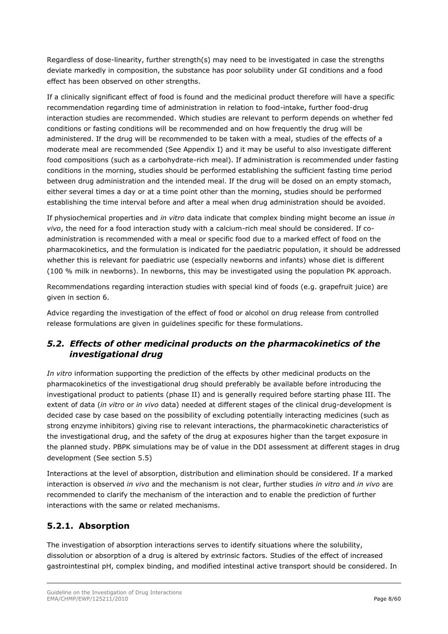Regardless of dose-linearity, further strength(s) may need to be investigated in case the strengths deviate markedly in composition, the substance has poor solubility under GI conditions and a food effect has been observed on other strengths.

If a clinically significant effect of food is found and the medicinal product therefore will have a specific recommendation regarding time of administration in relation to food-intake, further food-drug interaction studies are recommended. Which studies are relevant to perform depends on whether fed conditions or fasting conditions will be recommended and on how frequently the drug will be administered. If the drug will be recommended to be taken with a meal, studies of the effects of a moderate meal are recommended (See Appendix I) and it may be useful to also investigate different food compositions (such as a carbohydrate-rich meal). If administration is recommended under fasting conditions in the morning, studies should be performed establishing the sufficient fasting time period between drug administration and the intended meal. If the drug will be dosed on an empty stomach, either several times a day or at a time point other than the morning, studies should be performed establishing the time interval before and after a meal when drug administration should be avoided.

If physiochemical properties and *in vitro* data indicate that complex binding might become an issue *in vivo*, the need for a food interaction study with a calcium-rich meal should be considered. If coadministration is recommended with a meal or specific food due to a marked effect of food on the pharmacokinetics, and the formulation is indicated for the paediatric population, it should be addressed whether this is relevant for paediatric use (especially newborns and infants) whose diet is different (100 % milk in newborns). In newborns, this may be investigated using the population PK approach.

Recommendations regarding interaction studies with special kind of foods (e.g. grapefruit juice) are given in section 6.

Advice regarding the investigation of the effect of food or alcohol on drug release from controlled release formulations are given in guidelines specific for these formulations.

## <span id="page-7-0"></span>*5.2. Effects of other medicinal products on the pharmacokinetics of the investigational drug*

*In vitro* information supporting the prediction of the effects by other medicinal products on the pharmacokinetics of the investigational drug should preferably be available before introducing the investigational product to patients (phase II) and is generally required before starting phase III. The extent of data (*in vitro* or *in vivo* data) needed at different stages of the clinical drug-development is decided case by case based on the possibility of excluding potentially interacting medicines (such as strong enzyme inhibitors) giving rise to relevant interactions, the pharmacokinetic characteristics of the investigational drug, and the safety of the drug at exposures higher than the target exposure in the planned study. PBPK simulations may be of value in the DDI assessment at different stages in drug development (See section 5.5)

Interactions at the level of absorption, distribution and elimination should be considered. If a marked interaction is observed *in vivo* and the mechanism is not clear, further studies *in vitro* and *in vivo* are recommended to clarify the mechanism of the interaction and to enable the prediction of further interactions with the same or related mechanisms.

## <span id="page-7-1"></span>**5.2.1. Absorption**

The investigation of absorption interactions serves to identify situations where the solubility, dissolution or absorption of a drug is altered by extrinsic factors. Studies of the effect of increased gastrointestinal pH, complex binding, and modified intestinal active transport should be considered. In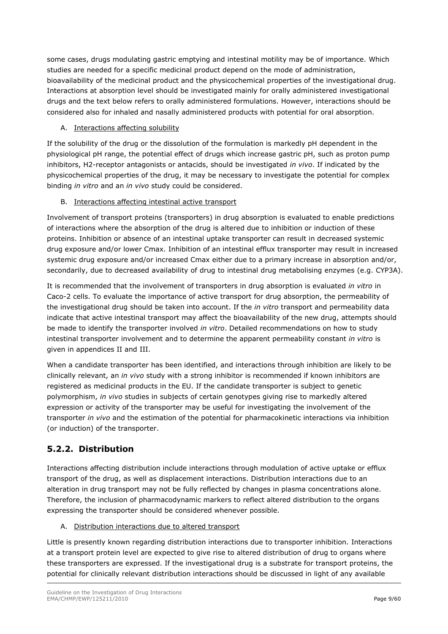some cases, drugs modulating gastric emptying and intestinal motility may be of importance. Which studies are needed for a specific medicinal product depend on the mode of administration, bioavailability of the medicinal product and the physicochemical properties of the investigational drug. Interactions at absorption level should be investigated mainly for orally administered investigational drugs and the text below refers to orally administered formulations. However, interactions should be considered also for inhaled and nasally administered products with potential for oral absorption.

## A. Interactions affecting solubility

If the solubility of the drug or the dissolution of the formulation is markedly pH dependent in the physiological pH range, the potential effect of drugs which increase gastric pH, such as proton pump inhibitors, H2-receptor antagonists or antacids, should be investigated *in vivo*. If indicated by the physicochemical properties of the drug, it may be necessary to investigate the potential for complex binding *in vitro* and an *in vivo* study could be considered.

## B. Interactions affecting intestinal active transport

Involvement of transport proteins (transporters) in drug absorption is evaluated to enable predictions of interactions where the absorption of the drug is altered due to inhibition or induction of these proteins. Inhibition or absence of an intestinal uptake transporter can result in decreased systemic drug exposure and/or lower Cmax. Inhibition of an intestinal efflux transporter may result in increased systemic drug exposure and/or increased Cmax either due to a primary increase in absorption and/or, secondarily, due to decreased availability of drug to intestinal drug metabolising enzymes (e.g. CYP3A).

It is recommended that the involvement of transporters in drug absorption is evaluated *in vitro* in Caco-2 cells. To evaluate the importance of active transport for drug absorption, the permeability of the investigational drug should be taken into account. If the *in vitro* transport and permeability data indicate that active intestinal transport may affect the bioavailability of the new drug, attempts should be made to identify the transporter involved *in vitro*. Detailed recommendations on how to study intestinal transporter involvement and to determine the apparent permeability constant *in vitro* is given in appendices II and III.

When a candidate transporter has been identified, and interactions through inhibition are likely to be clinically relevant, an *in vivo* study with a strong inhibitor is recommended if known inhibitors are registered as medicinal products in the EU. If the candidate transporter is subject to genetic polymorphism, *in vivo* studies in subjects of certain genotypes giving rise to markedly altered expression or activity of the transporter may be useful for investigating the involvement of the transporter *in vivo* and the estimation of the potential for pharmacokinetic interactions via inhibition (or induction) of the transporter.

## <span id="page-8-0"></span>**5.2.2. Distribution**

Interactions affecting distribution include interactions through modulation of active uptake or efflux transport of the drug, as well as displacement interactions. Distribution interactions due to an alteration in drug transport may not be fully reflected by changes in plasma concentrations alone. Therefore, the inclusion of pharmacodynamic markers to reflect altered distribution to the organs expressing the transporter should be considered whenever possible.

## A. Distribution interactions due to altered transport

Little is presently known regarding distribution interactions due to transporter inhibition. Interactions at a transport protein level are expected to give rise to altered distribution of drug to organs where these transporters are expressed. If the investigational drug is a substrate for transport proteins, the potential for clinically relevant distribution interactions should be discussed in light of any available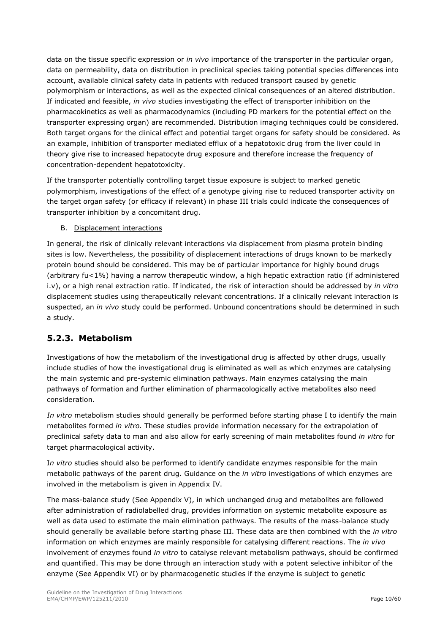data on the tissue specific expression or *in vivo* importance of the transporter in the particular organ, data on permeability, data on distribution in preclinical species taking potential species differences into account, available clinical safety data in patients with reduced transport caused by genetic polymorphism or interactions, as well as the expected clinical consequences of an altered distribution. If indicated and feasible, *in vivo* studies investigating the effect of transporter inhibition on the pharmacokinetics as well as pharmacodynamics (including PD markers for the potential effect on the transporter expressing organ) are recommended. Distribution imaging techniques could be considered. Both target organs for the clinical effect and potential target organs for safety should be considered. As an example, inhibition of transporter mediated efflux of a hepatotoxic drug from the liver could in theory give rise to increased hepatocyte drug exposure and therefore increase the frequency of concentration-dependent hepatotoxicity.

If the transporter potentially controlling target tissue exposure is subject to marked genetic polymorphism, investigations of the effect of a genotype giving rise to reduced transporter activity on the target organ safety (or efficacy if relevant) in phase III trials could indicate the consequences of transporter inhibition by a concomitant drug.

### B. Displacement interactions

In general, the risk of clinically relevant interactions via displacement from plasma protein binding sites is low. Nevertheless, the possibility of displacement interactions of drugs known to be markedly protein bound should be considered. This may be of particular importance for highly bound drugs (arbitrary fu<1%) having a narrow therapeutic window, a high hepatic extraction ratio (if administered i.v), or a high renal extraction ratio. If indicated, the risk of interaction should be addressed by *in vitro* displacement studies using therapeutically relevant concentrations. If a clinically relevant interaction is suspected, an *in vivo* study could be performed. Unbound concentrations should be determined in such a study.

## <span id="page-9-0"></span>**5.2.3. Metabolism**

Investigations of how the metabolism of the investigational drug is affected by other drugs, usually include studies of how the investigational drug is eliminated as well as which enzymes are catalysing the main systemic and pre-systemic elimination pathways. Main enzymes catalysing the main pathways of formation and further elimination of pharmacologically active metabolites also need consideration.

*In vitro* metabolism studies should generally be performed before starting phase I to identify the main metabolites formed *in vitro.* These studies provide information necessary for the extrapolation of preclinical safety data to man and also allow for early screening of main metabolites found *in vitro* for target pharmacological activity.

I*n vitro* studies should also be performed to identify candidate enzymes responsible for the main metabolic pathways of the parent drug. Guidance on the *in vitro* investigations of which enzymes are involved in the metabolism is given in Appendix IV.

The mass-balance study (See Appendix V), in which unchanged drug and metabolites are followed after administration of radiolabelled drug, provides information on systemic metabolite exposure as well as data used to estimate the main elimination pathways. The results of the mass-balance study should generally be available before starting phase III. These data are then combined with the *in vitro* information on which enzymes are mainly responsible for catalysing different reactions. The *in vivo* involvement of enzymes found *in vitro* to catalyse relevant metabolism pathways, should be confirmed and quantified. This may be done through an interaction study with a potent selective inhibitor of the enzyme (See Appendix VI) or by pharmacogenetic studies if the enzyme is subject to genetic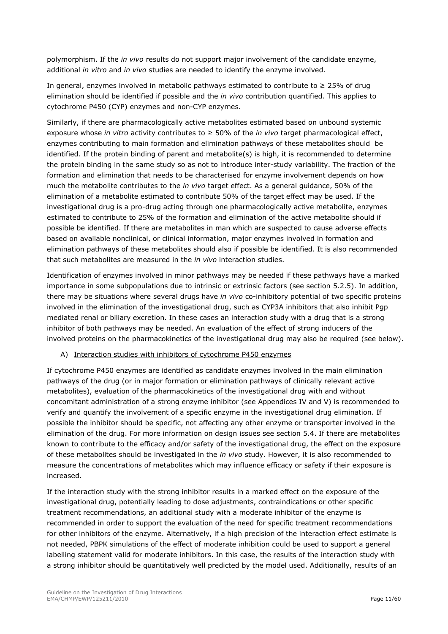polymorphism. If the *in vivo* results do not support major involvement of the candidate enzyme, additional *in vitro* and *in vivo* studies are needed to identify the enzyme involved.

In general, enzymes involved in metabolic pathways estimated to contribute to ≥ 25% of drug elimination should be identified if possible and the *in vivo* contribution quantified. This applies to cytochrome P450 (CYP) enzymes and non-CYP enzymes.

Similarly, if there are pharmacologically active metabolites estimated based on unbound systemic exposure whose *in vitro* activity contributes to ≥ 50% of the *in vivo* target pharmacological effect, enzymes contributing to main formation and elimination pathways of these metabolites should be identified. If the protein binding of parent and metabolite(s) is high, it is recommended to determine the protein binding in the same study so as not to introduce inter-study variability. The fraction of the formation and elimination that needs to be characterised for enzyme involvement depends on how much the metabolite contributes to the *in vivo* target effect. As a general guidance, 50% of the elimination of a metabolite estimated to contribute 50% of the target effect may be used. If the investigational drug is a pro-drug acting through one pharmacologically active metabolite, enzymes estimated to contribute to 25% of the formation and elimination of the active metabolite should if possible be identified. If there are metabolites in man which are suspected to cause adverse effects based on available nonclinical, or clinical information, major enzymes involved in formation and elimination pathways of these metabolites should also if possible be identified. It is also recommended that such metabolites are measured in the *in vivo* interaction studies.

Identification of enzymes involved in minor pathways may be needed if these pathways have a marked importance in some subpopulations due to intrinsic or extrinsic factors (see section 5.2.5). In addition, there may be situations where several drugs have *in vivo* co-inhibitory potential of two specific proteins involved in the elimination of the investigational drug, such as CYP3A inhibitors that also inhibit Pgp mediated renal or biliary excretion. In these cases an interaction study with a drug that is a strong inhibitor of both pathways may be needed. An evaluation of the effect of strong inducers of the involved proteins on the pharmacokinetics of the investigational drug may also be required (see below).

### A) Interaction studies with inhibitors of cytochrome P450 enzymes

If cytochrome P450 enzymes are identified as candidate enzymes involved in the main elimination pathways of the drug (or in major formation or elimination pathways of clinically relevant active metabolites), evaluation of the pharmacokinetics of the investigational drug with and without concomitant administration of a strong enzyme inhibitor (see Appendices IV and V) is recommended to verify and quantify the involvement of a specific enzyme in the investigational drug elimination. If possible the inhibitor should be specific, not affecting any other enzyme or transporter involved in the elimination of the drug. For more information on design issues see section 5.4. If there are metabolites known to contribute to the efficacy and/or safety of the investigational drug, the effect on the exposure of these metabolites should be investigated in the *in vivo* study. However, it is also recommended to measure the concentrations of metabolites which may influence efficacy or safety if their exposure is increased.

If the interaction study with the strong inhibitor results in a marked effect on the exposure of the investigational drug, potentially leading to dose adjustments, contraindications or other specific treatment recommendations, an additional study with a moderate inhibitor of the enzyme is recommended in order to support the evaluation of the need for specific treatment recommendations for other inhibitors of the enzyme. Alternatively, if a high precision of the interaction effect estimate is not needed, PBPK simulations of the effect of moderate inhibition could be used to support a general labelling statement valid for moderate inhibitors. In this case, the results of the interaction study with a strong inhibitor should be quantitatively well predicted by the model used. Additionally, results of an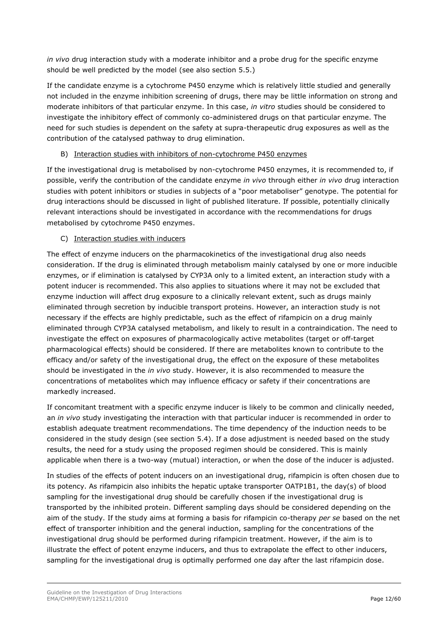*in vivo* drug interaction study with a moderate inhibitor and a probe drug for the specific enzyme should be well predicted by the model (see also section 5.5.)

If the candidate enzyme is a cytochrome P450 enzyme which is relatively little studied and generally not included in the enzyme inhibition screening of drugs, there may be little information on strong and moderate inhibitors of that particular enzyme. In this case, *in vitro* studies should be considered to investigate the inhibitory effect of commonly co-administered drugs on that particular enzyme. The need for such studies is dependent on the safety at supra-therapeutic drug exposures as well as the contribution of the catalysed pathway to drug elimination.

#### B) Interaction studies with inhibitors of non-cytochrome P450 enzymes

If the investigational drug is metabolised by non-cytochrome P450 enzymes, it is recommended to, if possible, verify the contribution of the candidate enzyme *in vivo* through either *in vivo* drug interaction studies with potent inhibitors or studies in subjects of a "poor metaboliser" genotype. The potential for drug interactions should be discussed in light of published literature. If possible, potentially clinically relevant interactions should be investigated in accordance with the recommendations for drugs metabolised by cytochrome P450 enzymes.

#### C) Interaction studies with inducers

The effect of enzyme inducers on the pharmacokinetics of the investigational drug also needs consideration. If the drug is eliminated through metabolism mainly catalysed by one or more inducible enzymes, or if elimination is catalysed by CYP3A only to a limited extent, an interaction study with a potent inducer is recommended. This also applies to situations where it may not be excluded that enzyme induction will affect drug exposure to a clinically relevant extent, such as drugs mainly eliminated through secretion by inducible transport proteins. However, an interaction study is not necessary if the effects are highly predictable, such as the effect of rifampicin on a drug mainly eliminated through CYP3A catalysed metabolism, and likely to result in a contraindication. The need to investigate the effect on exposures of pharmacologically active metabolites (target or off-target pharmacological effects) should be considered. If there are metabolites known to contribute to the efficacy and/or safety of the investigational drug, the effect on the exposure of these metabolites should be investigated in the *in vivo* study. However, it is also recommended to measure the concentrations of metabolites which may influence efficacy or safety if their concentrations are markedly increased.

If concomitant treatment with a specific enzyme inducer is likely to be common and clinically needed, an *in vivo* study investigating the interaction with that particular inducer is recommended in order to establish adequate treatment recommendations. The time dependency of the induction needs to be considered in the study design (see section 5.4). If a dose adjustment is needed based on the study results, the need for a study using the proposed regimen should be considered. This is mainly applicable when there is a two-way (mutual) interaction, or when the dose of the inducer is adjusted.

In studies of the effects of potent inducers on an investigational drug, rifampicin is often chosen due to its potency. As rifampicin also inhibits the hepatic uptake transporter OATP1B1, the day(s) of blood sampling for the investigational drug should be carefully chosen if the investigational drug is transported by the inhibited protein. Different sampling days should be considered depending on the aim of the study. If the study aims at forming a basis for rifampicin co-therapy *per se* based on the net effect of transporter inhibition and the general induction, sampling for the concentrations of the investigational drug should be performed during rifampicin treatment. However, if the aim is to illustrate the effect of potent enzyme inducers, and thus to extrapolate the effect to other inducers, sampling for the investigational drug is optimally performed one day after the last rifampicin dose.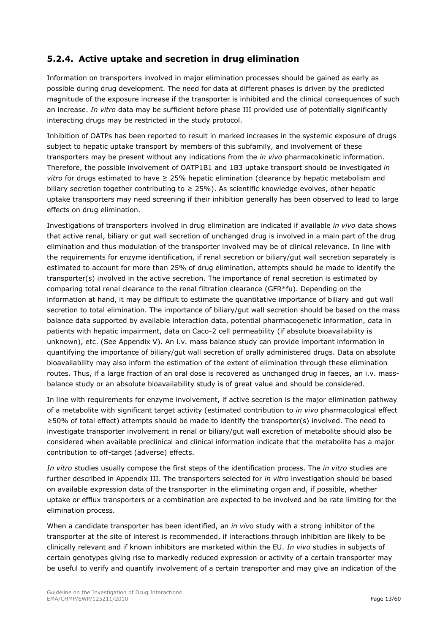## <span id="page-12-0"></span>**5.2.4. Active uptake and secretion in drug elimination**

Information on transporters involved in major elimination processes should be gained as early as possible during drug development. The need for data at different phases is driven by the predicted magnitude of the exposure increase if the transporter is inhibited and the clinical consequences of such an increase. *In vitro* data may be sufficient before phase III provided use of potentially significantly interacting drugs may be restricted in the study protocol.

Inhibition of OATPs has been reported to result in marked increases in the systemic exposure of drugs subject to hepatic uptake transport by members of this subfamily, and involvement of these transporters may be present without any indications from the *in vivo* pharmacokinetic information. Therefore, the possible involvement of OATP1B1 and 1B3 uptake transport should be investigated *in vitro* for drugs estimated to have ≥ 25% hepatic elimination (clearance by hepatic metabolism and biliary secretion together contributing to  $\geq$  25%). As scientific knowledge evolves, other hepatic uptake transporters may need screening if their inhibition generally has been observed to lead to large effects on drug elimination.

Investigations of transporters involved in drug elimination are indicated if available *in vivo* data shows that active renal, biliary or gut wall secretion of unchanged drug is involved in a main part of the drug elimination and thus modulation of the transporter involved may be of clinical relevance. In line with the requirements for enzyme identification, if renal secretion or biliary/gut wall secretion separately is estimated to account for more than 25% of drug elimination, attempts should be made to identify the transporter(s) involved in the active secretion. The importance of renal secretion is estimated by comparing total renal clearance to the renal filtration clearance (GFR\*fu). Depending on the information at hand, it may be difficult to estimate the quantitative importance of biliary and gut wall secretion to total elimination. The importance of biliary/gut wall secretion should be based on the mass balance data supported by available interaction data, potential pharmacogenetic information, data in patients with hepatic impairment, data on Caco-2 cell permeability (if absolute bioavailability is unknown), etc. (See Appendix V). An i.v. mass balance study can provide important information in quantifying the importance of biliary/gut wall secretion of orally administered drugs. Data on absolute bioavailability may also inform the estimation of the extent of elimination through these elimination routes. Thus, if a large fraction of an oral dose is recovered as unchanged drug in faeces, an i.v. massbalance study or an absolute bioavailability study is of great value and should be considered.

In line with requirements for enzyme involvement, if active secretion is the major elimination pathway of a metabolite with significant target activity (estimated contribution to *in vivo* pharmacological effect ≥50% of total effect) attempts should be made to identify the transporter(s) involved. The need to investigate transporter involvement in renal or biliary/gut wall excretion of metabolite should also be considered when available preclinical and clinical information indicate that the metabolite has a major contribution to off-target (adverse) effects.

*In vitro* studies usually compose the first steps of the identification process. The *in vitro* studies are further described in Appendix III. The transporters selected for *in vitro* investigation should be based on available expression data of the transporter in the eliminating organ and, if possible, whether uptake or efflux transporters or a combination are expected to be involved and be rate limiting for the elimination process.

When a candidate transporter has been identified, an *in vivo* study with a strong inhibitor of the transporter at the site of interest is recommended, if interactions through inhibition are likely to be clinically relevant and if known inhibitors are marketed within the EU. *In vivo* studies in subjects of certain genotypes giving rise to markedly reduced expression or activity of a certain transporter may be useful to verify and quantify involvement of a certain transporter and may give an indication of the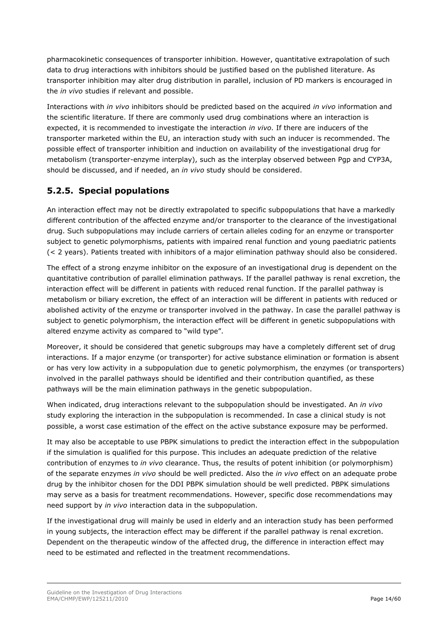pharmacokinetic consequences of transporter inhibition. However, quantitative extrapolation of such data to drug interactions with inhibitors should be justified based on the published literature. As transporter inhibition may alter drug distribution in parallel, inclusion of PD markers is encouraged in the *in vivo* studies if relevant and possible.

Interactions with *in vivo* inhibitors should be predicted based on the acquired *in vivo* information and the scientific literature. If there are commonly used drug combinations where an interaction is expected, it is recommended to investigate the interaction *in vivo.* If there are inducers of the transporter marketed within the EU, an interaction study with such an inducer is recommended. The possible effect of transporter inhibition and induction on availability of the investigational drug for metabolism (transporter-enzyme interplay), such as the interplay observed between Pgp and CYP3A, should be discussed, and if needed, an *in vivo* study should be considered.

## <span id="page-13-0"></span>**5.2.5. Special populations**

An interaction effect may not be directly extrapolated to specific subpopulations that have a markedly different contribution of the affected enzyme and/or transporter to the clearance of the investigational drug. Such subpopulations may include carriers of certain alleles coding for an enzyme or transporter subject to genetic polymorphisms, patients with impaired renal function and young paediatric patients (< 2 years). Patients treated with inhibitors of a major elimination pathway should also be considered.

The effect of a strong enzyme inhibitor on the exposure of an investigational drug is dependent on the quantitative contribution of parallel elimination pathways. If the parallel pathway is renal excretion, the interaction effect will be different in patients with reduced renal function. If the parallel pathway is metabolism or biliary excretion, the effect of an interaction will be different in patients with reduced or abolished activity of the enzyme or transporter involved in the pathway. In case the parallel pathway is subject to genetic polymorphism, the interaction effect will be different in genetic subpopulations with altered enzyme activity as compared to "wild type".

Moreover, it should be considered that genetic subgroups may have a completely different set of drug interactions. If a major enzyme (or transporter) for active substance elimination or formation is absent or has very low activity in a subpopulation due to genetic polymorphism, the enzymes (or transporters) involved in the parallel pathways should be identified and their contribution quantified, as these pathways will be the main elimination pathways in the genetic subpopulation.

When indicated, drug interactions relevant to the subpopulation should be investigated. An *in vivo* study exploring the interaction in the subpopulation is recommended. In case a clinical study is not possible, a worst case estimation of the effect on the active substance exposure may be performed.

It may also be acceptable to use PBPK simulations to predict the interaction effect in the subpopulation if the simulation is qualified for this purpose. This includes an adequate prediction of the relative contribution of enzymes to *in vivo* clearance. Thus, the results of potent inhibition (or polymorphism) of the separate enzymes *in vivo* should be well predicted. Also the *in vivo* effect on an adequate probe drug by the inhibitor chosen for the DDI PBPK simulation should be well predicted. PBPK simulations may serve as a basis for treatment recommendations. However, specific dose recommendations may need support by *in vivo* interaction data in the subpopulation.

If the investigational drug will mainly be used in elderly and an interaction study has been performed in young subjects, the interaction effect may be different if the parallel pathway is renal excretion. Dependent on the therapeutic window of the affected drug, the difference in interaction effect may need to be estimated and reflected in the treatment recommendations.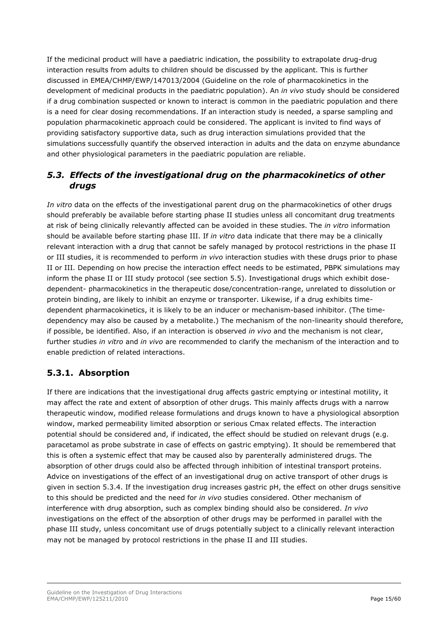If the medicinal product will have a paediatric indication, the possibility to extrapolate drug-drug interaction results from adults to children should be discussed by the applicant. This is further discussed in EMEA/CHMP/EWP/147013/2004 (Guideline on the role of pharmacokinetics in the development of medicinal products in the paediatric population). An *in vivo* study should be considered if a drug combination suspected or known to interact is common in the paediatric population and there is a need for clear dosing recommendations. If an interaction study is needed, a sparse sampling and population pharmacokinetic approach could be considered. The applicant is invited to find ways of providing satisfactory supportive data, such as drug interaction simulations provided that the simulations successfully quantify the observed interaction in adults and the data on enzyme abundance and other physiological parameters in the paediatric population are reliable.

## <span id="page-14-0"></span>*5.3. Effects of the investigational drug on the pharmacokinetics of other drugs*

*In vitro* data on the effects of the investigational parent drug on the pharmacokinetics of other drugs should preferably be available before starting phase II studies unless all concomitant drug treatments at risk of being clinically relevantly affected can be avoided in these studies. The *in vitro* information should be available before starting phase III. If *in vitro* data indicate that there may be a clinically relevant interaction with a drug that cannot be safely managed by protocol restrictions in the phase II or III studies, it is recommended to perform *in vivo* interaction studies with these drugs prior to phase II or III. Depending on how precise the interaction effect needs to be estimated, PBPK simulations may inform the phase II or III study protocol (see section 5.5). Investigational drugs which exhibit dosedependent- pharmacokinetics in the therapeutic dose/concentration-range, unrelated to dissolution or protein binding, are likely to inhibit an enzyme or transporter. Likewise, if a drug exhibits timedependent pharmacokinetics, it is likely to be an inducer or mechanism-based inhibitor. (The timedependency may also be caused by a metabolite.) The mechanism of the non-linearity should therefore, if possible, be identified. Also, if an interaction is observed *in vivo* and the mechanism is not clear, further studies *in vitro* and *in vivo* are recommended to clarify the mechanism of the interaction and to enable prediction of related interactions.

## <span id="page-14-1"></span>**5.3.1. Absorption**

If there are indications that the investigational drug affects gastric emptying or intestinal motility, it may affect the rate and extent of absorption of other drugs. This mainly affects drugs with a narrow therapeutic window, modified release formulations and drugs known to have a physiological absorption window, marked permeability limited absorption or serious Cmax related effects. The interaction potential should be considered and, if indicated, the effect should be studied on relevant drugs (e.g. paracetamol as probe substrate in case of effects on gastric emptying). It should be remembered that this is often a systemic effect that may be caused also by parenterally administered drugs. The absorption of other drugs could also be affected through inhibition of intestinal transport proteins. Advice on investigations of the effect of an investigational drug on active transport of other drugs is given in section 5.3.4. If the investigation drug increases gastric pH, the effect on other drugs sensitive to this should be predicted and the need for *in vivo* studies considered. Other mechanism of interference with drug absorption, such as complex binding should also be considered. *In vivo* investigations on the effect of the absorption of other drugs may be performed in parallel with the phase III study, unless concomitant use of drugs potentially subject to a clinically relevant interaction may not be managed by protocol restrictions in the phase II and III studies.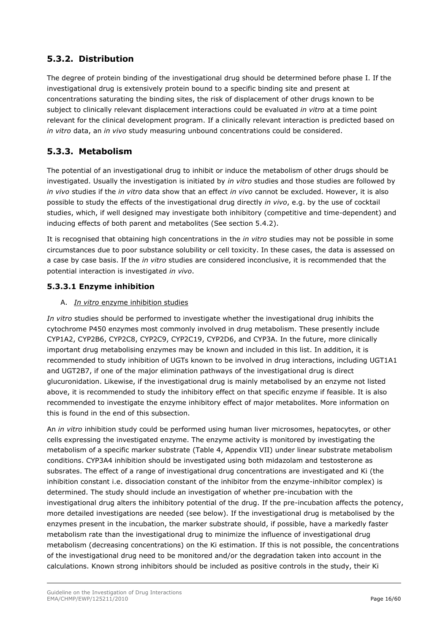## <span id="page-15-0"></span>**5.3.2. Distribution**

The degree of protein binding of the investigational drug should be determined before phase I. If the investigational drug is extensively protein bound to a specific binding site and present at concentrations saturating the binding sites, the risk of displacement of other drugs known to be subject to clinically relevant displacement interactions could be evaluated *in vitro* at a time point relevant for the clinical development program. If a clinically relevant interaction is predicted based on *in vitro* data, an *in vivo* study measuring unbound concentrations could be considered.

## <span id="page-15-1"></span>**5.3.3. Metabolism**

The potential of an investigational drug to inhibit or induce the metabolism of other drugs should be investigated. Usually the investigation is initiated by *in vitro* studies and those studies are followed by *in vivo* studies if the *in vitro* data show that an effect *in vivo* cannot be excluded. However, it is also possible to study the effects of the investigational drug directly *in vivo*, e.g. by the use of cocktail studies, which, if well designed may investigate both inhibitory (competitive and time-dependent) and inducing effects of both parent and metabolites (See section 5.4.2).

It is recognised that obtaining high concentrations in the *in vitro* studies may not be possible in some circumstances due to poor substance solubility or cell toxicity. In these cases, the data is assessed on a case by case basis. If the *in vitro* studies are considered inconclusive, it is recommended that the potential interaction is investigated *in vivo*.

## **5.3.3.1 Enzyme inhibition**

### A. *In vitro* enzyme inhibition studies

*In vitro* studies should be performed to investigate whether the investigational drug inhibits the cytochrome P450 enzymes most commonly involved in drug metabolism. These presently include CYP1A2, CYP2B6, CYP2C8, CYP2C9, CYP2C19, CYP2D6, and CYP3A. In the future, more clinically important drug metabolising enzymes may be known and included in this list. In addition, it is recommended to study inhibition of UGTs known to be involved in drug interactions, including UGT1A1 and UGT2B7, if one of the major elimination pathways of the investigational drug is direct glucuronidation. Likewise, if the investigational drug is mainly metabolised by an enzyme not listed above, it is recommended to study the inhibitory effect on that specific enzyme if feasible. It is also recommended to investigate the enzyme inhibitory effect of major metabolites. More information on this is found in the end of this subsection.

An *in vitro* inhibition study could be performed using human liver microsomes, hepatocytes, or other cells expressing the investigated enzyme. The enzyme activity is monitored by investigating the metabolism of a specific marker substrate (Table 4, Appendix VII) under linear substrate metabolism conditions. CYP3A4 inhibition should be investigated using both midazolam and testosterone as subsrates. The effect of a range of investigational drug concentrations are investigated and Ki (the inhibition constant i.e. dissociation constant of the inhibitor from the enzyme-inhibitor complex) is determined. The study should include an investigation of whether pre-incubation with the investigational drug alters the inhibitory potential of the drug. If the pre-incubation affects the potency, more detailed investigations are needed (see below). If the investigational drug is metabolised by the enzymes present in the incubation, the marker substrate should, if possible, have a markedly faster metabolism rate than the investigational drug to minimize the influence of investigational drug metabolism (decreasing concentrations) on the Ki estimation. If this is not possible, the concentrations of the investigational drug need to be monitored and/or the degradation taken into account in the calculations. Known strong inhibitors should be included as positive controls in the study, their Ki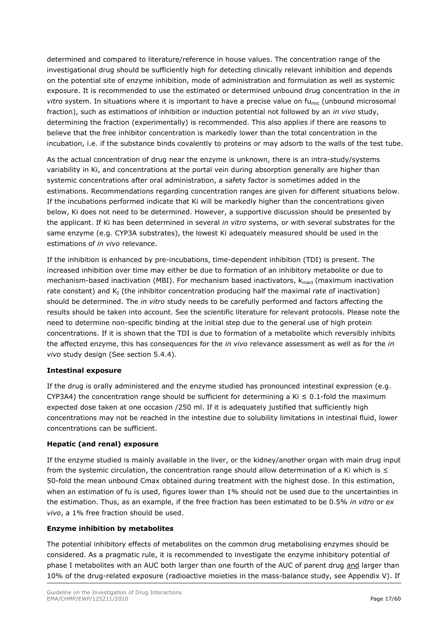determined and compared to literature/reference in house values. The concentration range of the investigational drug should be sufficiently high for detecting clinically relevant inhibition and depends on the potential site of enzyme inhibition, mode of administration and formulation as well as systemic exposure. It is recommended to use the estimated or determined unbound drug concentration in the *in*  vitro system. In situations where it is important to have a precise value on fu<sub>mic</sub> (unbound microsomal fraction), such as estimations of inhibition or induction potential not followed by an *in vivo* study, determining the fraction (experimentally) is recommended. This also applies if there are reasons to believe that the free inhibitor concentration is markedly lower than the total concentration in the incubation, i.e. if the substance binds covalently to proteins or may adsorb to the walls of the test tube.

As the actual concentration of drug near the enzyme is unknown, there is an intra-study/systems variability in Ki, and concentrations at the portal vein during absorption generally are higher than systemic concentrations after oral administration, a safety factor is sometimes added in the estimations. Recommendations regarding concentration ranges are given for different situations below. If the incubations performed indicate that Ki will be markedly higher than the concentrations given below, Ki does not need to be determined. However, a supportive discussion should be presented by the applicant. If Ki has been determined in several *in vitro* systems, or with several substrates for the same enzyme (e.g. CYP3A substrates), the lowest Ki adequately measured should be used in the estimations of *in vivo* relevance.

If the inhibition is enhanced by pre-incubations, time-dependent inhibition (TDI) is present. The increased inhibition over time may either be due to formation of an inhibitory metabolite or due to mechanism-based inactivation (MBI). For mechanism based inactivators,  $k_{\text{inact}}$  (maximum inactivation rate constant) and  $K_I$  (the inhibitor concentration producing half the maximal rate of inactivation) should be determined. The *in vitro* study needs to be carefully performed and factors affecting the results should be taken into account. See the scientific literature for relevant protocols. Please note the need to determine non-specific binding at the initial step due to the general use of high protein concentrations. If it is shown that the TDI is due to formation of a metabolite which reversibly inhibits the affected enzyme, this has consequences for the *in vivo* relevance assessment as well as for the *in vivo* study design (See section 5.4.4).

#### **Intestinal exposure**

If the drug is orally administered and the enzyme studied has pronounced intestinal expression (e.g. CYP3A4) the concentration range should be sufficient for determining a Ki  $\leq 0.1$ -fold the maximum expected dose taken at one occasion /250 ml. If it is adequately justified that sufficiently high concentrations may not be reached in the intestine due to solubility limitations in intestinal fluid, lower concentrations can be sufficient.

#### **Hepatic (and renal) exposure**

If the enzyme studied is mainly available in the liver, or the kidney/another organ with main drug input from the systemic circulation, the concentration range should allow determination of a Ki which is  $\leq$ 50-fold the mean unbound Cmax obtained during treatment with the highest dose. In this estimation, when an estimation of fu is used, figures lower than 1% should not be used due to the uncertainties in the estimation. Thus, as an example, if the free fraction has been estimated to be 0.5% *in vitro* or *ex vivo*, a 1% free fraction should be used.

#### **Enzyme inhibition by metabolites**

The potential inhibitory effects of metabolites on the common drug metabolising enzymes should be considered. As a pragmatic rule, it is recommended to investigate the enzyme inhibitory potential of phase I metabolites with an AUC both larger than one fourth of the AUC of parent drug and larger than 10% of the drug-related exposure (radioactive moieties in the mass-balance study, see Appendix V). If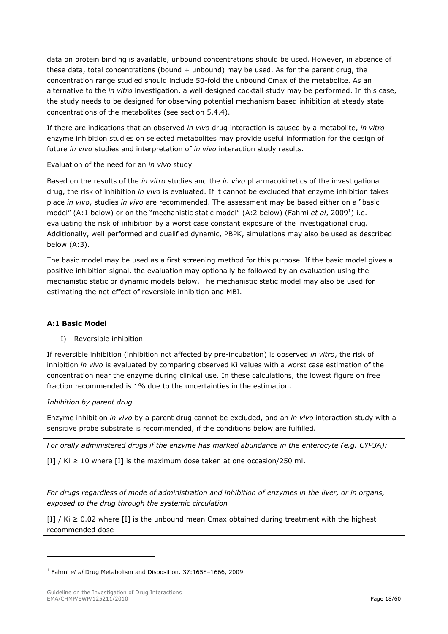data on protein binding is available, unbound concentrations should be used. However, in absence of these data, total concentrations (bound  $+$  unbound) may be used. As for the parent drug, the concentration range studied should include 50-fold the unbound Cmax of the metabolite. As an alternative to the *in vitro* investigation, a well designed cocktail study may be performed. In this case, the study needs to be designed for observing potential mechanism based inhibition at steady state concentrations of the metabolites (see section 5.4.4).

If there are indications that an observed *in vivo* drug interaction is caused by a metabolite, *in vitro* enzyme inhibition studies on selected metabolites may provide useful information for the design of future *in vivo* studies and interpretation of *in vivo* interaction study results.

#### Evaluation of the need for an *in vivo* study

Based on the results of the *in vitro* studies and the *in vivo* pharmacokinetics of the investigational drug, the risk of inhibition *in vivo* is evaluated. If it cannot be excluded that enzyme inhibition takes place *in vivo*, studies *in vivo* are recommended. The assessment may be based either on a "basic model" (A:1 below) or on the "mechanistic static model" (A:2 below) (Fahmi *et al*, 2009<sup>1</sup>) i.e. evaluating the risk of inhibition by a worst case constant exposure of the investigational drug. Additionally, well performed and qualified dynamic, PBPK, simulations may also be used as described below (A:3).

The basic model may be used as a first screening method for this purpose. If the basic model gives a positive inhibition signal, the evaluation may optionally be followed by an evaluation using the mechanistic static or dynamic models below. The mechanistic static model may also be used for estimating the net effect of reversible inhibition and MBI.

### **A:1 Basic Model**

### I) Reversible inhibition

If reversible inhibition (inhibition not affected by pre-incubation) is observed *in vitro*, the risk of inhibition *in vivo* is evaluated by comparing observed Ki values with a worst case estimation of the concentration near the enzyme during clinical use. In these calculations, the lowest figure on free fraction recommended is 1% due to the uncertainties in the estimation.

#### *Inhibition by parent drug*

ł

Enzyme inhibition *in vivo* by a parent drug cannot be excluded, and an *in vivo* interaction study with a sensitive probe substrate is recommended, if the conditions below are fulfilled.

*For orally administered drugs if the enzyme has marked abundance in the enterocyte (e.g. CYP3A):*

 $[I] / Ki \ge 10$  where  $[I]$  is the maximum dose taken at one occasion/250 ml.

*For drugs regardless of mode of administration and inhibition of enzymes in the liver, or in organs, exposed to the drug through the systemic circulation*

 $[I] / Ki \geq 0.02$  where  $[I]$  is the unbound mean Cmax obtained during treatment with the highest recommended dose

<sup>1</sup> Fahmi *et al* Drug Metabolism and Disposition. 37:1658–1666, 2009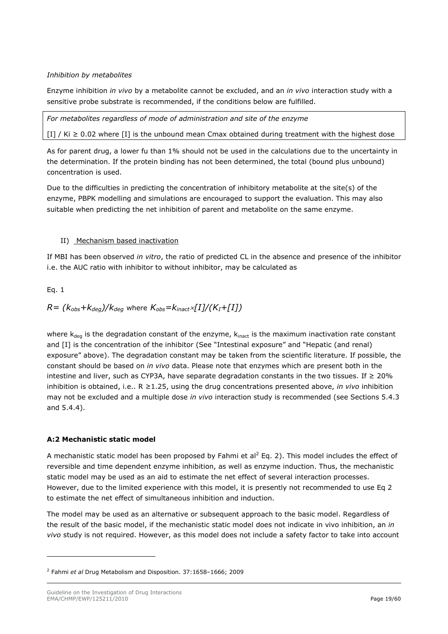#### *Inhibition by metabolites*

Enzyme inhibition *in vivo* by a metabolite cannot be excluded, and an *in vivo* interaction study with a sensitive probe substrate is recommended, if the conditions below are fulfilled.

*For metabolites regardless of mode of administration and site of the enzyme*

 $[I] / Ki \geq 0.02$  where  $[I]$  is the unbound mean Cmax obtained during treatment with the highest dose

As for parent drug, a lower fu than 1% should not be used in the calculations due to the uncertainty in the determination. If the protein binding has not been determined, the total (bound plus unbound) concentration is used.

Due to the difficulties in predicting the concentration of inhibitory metabolite at the site(s) of the enzyme, PBPK modelling and simulations are encouraged to support the evaluation. This may also suitable when predicting the net inhibition of parent and metabolite on the same enzyme.

#### II) Mechanism based inactivation

If MBI has been observed *in vitro*, the ratio of predicted CL in the absence and presence of the inhibitor i.e. the AUC ratio with inhibitor to without inhibitor, may be calculated as

Eq. 1

ł

## $R = (k_{obs} + k_{deg})/k_{deg}$  where  $K_{obs} = k_{inact} \times [I]/(K_I + [I])$

where  $k_{dea}$  is the degradation constant of the enzyme,  $k_{inact}$  is the maximum inactivation rate constant and [I] is the concentration of the inhibitor (See "Intestinal exposure" and "Hepatic (and renal) exposure" above). The degradation constant may be taken from the scientific literature. If possible, the constant should be based on *in vivo* data. Please note that enzymes which are present both in the intestine and liver, such as CYP3A, have separate degradation constants in the two tissues. If  $≥ 20%$ inhibition is obtained, i.e.. R ≥1.25, using the drug concentrations presented above, *in vivo* inhibition may not be excluded and a multiple dose *in vivo* interaction study is recommended (see Sections 5.4.3 and 5.4.4).

### **A:2 Mechanistic static model**

A mechanistic static model has been proposed by Fahmi et al<sup>2</sup> Eq. 2). This model includes the effect of reversible and time dependent enzyme inhibition, as well as enzyme induction. Thus, the mechanistic static model may be used as an aid to estimate the net effect of several interaction processes. However, due to the limited experience with this model, it is presently not recommended to use Eq 2 to estimate the net effect of simultaneous inhibition and induction.

The model may be used as an alternative or subsequent approach to the basic model. Regardless of the result of the basic model, if the mechanistic static model does not indicate in vivo inhibition, an *in vivo* study is not required. However, as this model does not include a safety factor to take into account

<sup>2</sup> Fahmi *et al* Drug Metabolism and Disposition. 37:1658–1666; 2009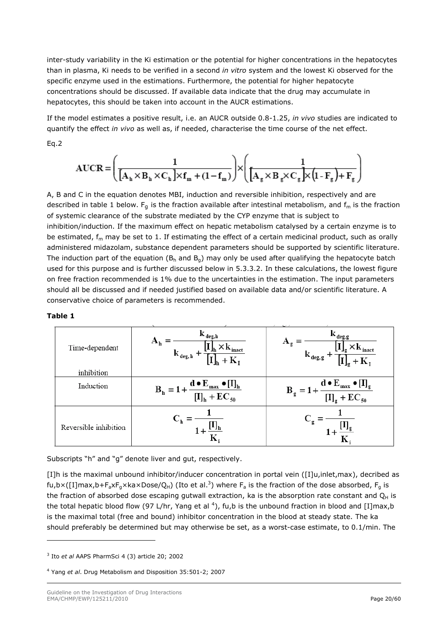inter-study variability in the Ki estimation or the potential for higher concentrations in the hepatocytes than in plasma, Ki needs to be verified in a second *in vitro* system and the lowest Ki observed for the specific enzyme used in the estimations. Furthermore, the potential for higher hepatocyte concentrations should be discussed. If available data indicate that the drug may accumulate in hepatocytes, this should be taken into account in the AUCR estimations.

If the model estimates a positive result, i.e. an AUCR outside 0.8-1.25, *in vivo* studies are indicated to quantify the effect *in vivo* as well as, if needed, characterise the time course of the net effect. Eq.2

$$
AUCR = \left(\frac{1}{\left[A_{h} \times B_{h} \times C_{h}\right] \times f_{m} + (1 - f_{m})}\right) \times \left(\frac{1}{\left[A_{g} \times B_{g} \times C_{g}\right] \times \left(1 - F_{g}\right) + F_{g}}\right)
$$

A, B and C in the equation denotes MBI, induction and reversible inhibition, respectively and are described in table 1 below.  $F_g$  is the fraction available after intestinal metabolism, and  $f_m$  is the fraction of systemic clearance of the substrate mediated by the CYP enzyme that is subject to inhibition/induction. If the maximum effect on hepatic metabolism catalysed by a certain enzyme is to be estimated,  $f<sub>m</sub>$  may be set to 1. If estimating the effect of a certain medicinal product, such as orally administered midazolam, substance dependent parameters should be supported by scientific literature. The induction part of the equation ( $B_h$  and  $B_q$ ) may only be used after qualifying the hepatocyte batch used for this purpose and is further discussed below in 5.3.3.2. In these calculations, the lowest figure on free fraction recommended is 1% due to the uncertainties in the estimation. The input parameters should all be discussed and if needed justified based on available data and/or scientific literature. A conservative choice of parameters is recommended.

#### **Table 1**

ł

| Time-dependent        | $\mathbf{k}_{\text{ deg,h}}$<br>$\mathbf{A}_{\mathbf{h}}$<br><sup>.</sup> inact<br>$\mathbf{k}_{\text{ deg, b}}$ - | $\mathbf{K}_{\text{deg},g}$<br>$\mathbf{r}_{\text{inact}}$<br>$\mathbf{k}_{\text{ deg, g}}$  |
|-----------------------|--------------------------------------------------------------------------------------------------------------------|----------------------------------------------------------------------------------------------|
| inhibition            |                                                                                                                    |                                                                                              |
| Induction             | $d \bullet E_{max} \bullet [I]_{h}$<br>$B_h = 1$<br>$[I]_h + EC_{50}$                                              | $d \bullet E_{max} \bullet [I]_g$<br>$B_g =$<br>$\left[\mathrm{I}\right]_{g}$ +<br>$EC_{50}$ |
| Reversible inhibition |                                                                                                                    | $\rm{C_{g}}$                                                                                 |

Subscripts "h" and "g" denote liver and gut, respectively.

[I]h is the maximal unbound inhibitor/inducer concentration in portal vein ([I]u,inlet,max), decribed as fu,b×([I]max,b+F<sub>a</sub>xF<sub>g</sub>×ka×Dose/Q<sub>H</sub>) (Ito et al.<sup>3</sup>) where F<sub>a</sub> is the fraction of the dose absorbed, F<sub>g</sub> is the fraction of absorbed dose escaping gutwall extraction, ka is the absorption rate constant and  $Q_H$  is the total hepatic blood flow (97 L/hr, Yang et al <sup>4</sup>), fu,b is the unbound fraction in blood and [I]max,b is the maximal total (free and bound) inhibitor concentration in the blood at steady state. The ka should preferably be determined but may otherwise be set, as a worst-case estimate, to 0.1/min. The

<sup>3</sup> Ito *et al* AAPS PharmSci 4 (3) article 20; 2002

<sup>4</sup> Yang *et al*. Drug Metabolism and Disposition 35:501-2; 2007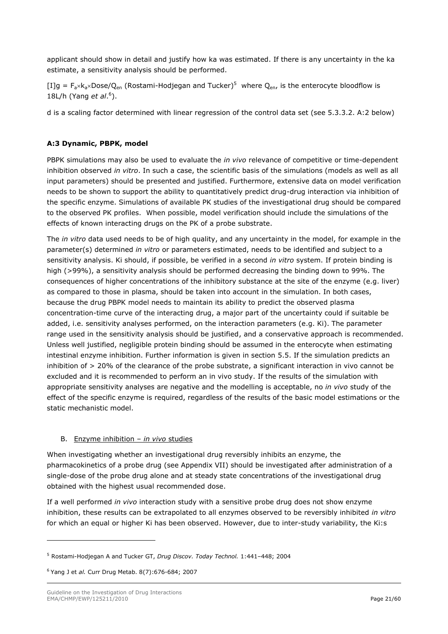applicant should show in detail and justify how ka was estimated. If there is any uncertainty in the ka estimate, a sensitivity analysis should be performed.

[I]g =  $F_a \times k_a \times \text{Dose}/Q_{en}$  (Rostami-Hodjegan and Tucker)<sup>5</sup> where  $Q_{en}$ , is the enterocyte bloodflow is 18L/h (Yang *et al*. 6 ).

d is a scaling factor determined with linear regression of the control data set (see 5.3.3.2. A:2 below)

#### **A:3 Dynamic, PBPK, model**

PBPK simulations may also be used to evaluate the *in vivo* relevance of competitive or time-dependent inhibition observed *in vitro*. In such a case, the scientific basis of the simulations (models as well as all input parameters) should be presented and justified. Furthermore, extensive data on model verification needs to be shown to support the ability to quantitatively predict drug-drug interaction via inhibition of the specific enzyme. Simulations of available PK studies of the investigational drug should be compared to the observed PK profiles. When possible, model verification should include the simulations of the effects of known interacting drugs on the PK of a probe substrate.

The *in vitro* data used needs to be of high quality, and any uncertainty in the model, for example in the parameter(s) determined *in vitro* or parameters estimated, needs to be identified and subject to a sensitivity analysis. Ki should, if possible, be verified in a second *in vitro* system. If protein binding is high (>99%), a sensitivity analysis should be performed decreasing the binding down to 99%. The consequences of higher concentrations of the inhibitory substance at the site of the enzyme (e.g. liver) as compared to those in plasma, should be taken into account in the simulation. In both cases, because the drug PBPK model needs to maintain its ability to predict the observed plasma concentration-time curve of the interacting drug, a major part of the uncertainty could if suitable be added, i.e. sensitivity analyses performed, on the interaction parameters (e.g. Ki). The parameter range used in the sensitivity analysis should be justified, and a conservative approach is recommended. Unless well justified, negligible protein binding should be assumed in the enterocyte when estimating intestinal enzyme inhibition. Further information is given in section 5.5. If the simulation predicts an inhibition of > 20% of the clearance of the probe substrate, a significant interaction in vivo cannot be excluded and it is recommended to perform an in vivo study. If the results of the simulation with appropriate sensitivity analyses are negative and the modelling is acceptable, no *in vivo* study of the effect of the specific enzyme is required, regardless of the results of the basic model estimations or the static mechanistic model.

#### B. Enzyme inhibition – *in vivo* studies

When investigating whether an investigational drug reversibly inhibits an enzyme, the pharmacokinetics of a probe drug (see Appendix VII) should be investigated after administration of a single-dose of the probe drug alone and at steady state concentrations of the investigational drug obtained with the highest usual recommended dose.

If a well performed *in vivo* interaction study with a sensitive probe drug does not show enzyme inhibition, these results can be extrapolated to all enzymes observed to be reversibly inhibited *in vitro* for which an equal or higher Ki has been observed. However, due to inter-study variability, the Ki:s

ł

<sup>5</sup> Rostami-Hodjegan A and Tucker GT, *Drug Discov. Today Technol.* 1:441–448; 2004

<sup>6</sup> Yang J et *al.* Curr Drug Metab. 8(7):676-684; 2007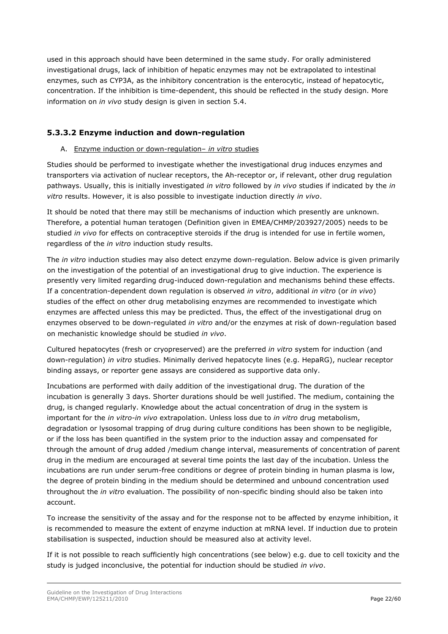used in this approach should have been determined in the same study. For orally administered investigational drugs, lack of inhibition of hepatic enzymes may not be extrapolated to intestinal enzymes, such as CYP3A, as the inhibitory concentration is the enterocytic, instead of hepatocytic, concentration. If the inhibition is time-dependent, this should be reflected in the study design. More information on *in vivo* study design is given in section 5.4.

## **5.3.3.2 Enzyme induction and down-regulation**

#### A. Enzyme induction or down-regulation– *in vitro* studies

Studies should be performed to investigate whether the investigational drug induces enzymes and transporters via activation of nuclear receptors, the Ah-receptor or, if relevant, other drug regulation pathways. Usually, this is initially investigated *in vitro* followed by *in vivo* studies if indicated by the *in vitro* results. However, it is also possible to investigate induction directly *in vivo*.

It should be noted that there may still be mechanisms of induction which presently are unknown. Therefore, a potential human teratogen (Definition given in EMEA/CHMP/203927/2005) needs to be studied *in vivo* for effects on contraceptive steroids if the drug is intended for use in fertile women, regardless of the *in vitro* induction study results.

The *in vitro* induction studies may also detect enzyme down-regulation. Below advice is given primarily on the investigation of the potential of an investigational drug to give induction. The experience is presently very limited regarding drug-induced down-regulation and mechanisms behind these effects. If a concentration-dependent down regulation is observed *in vitro*, additional *in vitro* (or *in vivo*) studies of the effect on other drug metabolising enzymes are recommended to investigate which enzymes are affected unless this may be predicted. Thus, the effect of the investigational drug on enzymes observed to be down-regulated *in vitro* and/or the enzymes at risk of down-regulation based on mechanistic knowledge should be studied *in vivo*.

Cultured hepatocytes (fresh or cryopreserved) are the preferred *in vitro* system for induction (and down-regulation) *in vitro* studies. Minimally derived hepatocyte lines (e.g. HepaRG), nuclear receptor binding assays, or reporter gene assays are considered as supportive data only.

Incubations are performed with daily addition of the investigational drug. The duration of the incubation is generally 3 days. Shorter durations should be well justified. The medium, containing the drug, is changed regularly. Knowledge about the actual concentration of drug in the system is important for the *in vitro-in vivo* extrapolation. Unless loss due to *in vitro* drug metabolism, degradation or lysosomal trapping of drug during culture conditions has been shown to be negligible, or if the loss has been quantified in the system prior to the induction assay and compensated for through the amount of drug added /medium change interval, measurements of concentration of parent drug in the medium are encouraged at several time points the last day of the incubation. Unless the incubations are run under serum-free conditions or degree of protein binding in human plasma is low, the degree of protein binding in the medium should be determined and unbound concentration used throughout the *in vitro* evaluation. The possibility of non-specific binding should also be taken into account.

To increase the sensitivity of the assay and for the response not to be affected by enzyme inhibition, it is recommended to measure the extent of enzyme induction at mRNA level. If induction due to protein stabilisation is suspected, induction should be measured also at activity level.

If it is not possible to reach sufficiently high concentrations (see below) e.g. due to cell toxicity and the study is judged inconclusive, the potential for induction should be studied *in vivo*.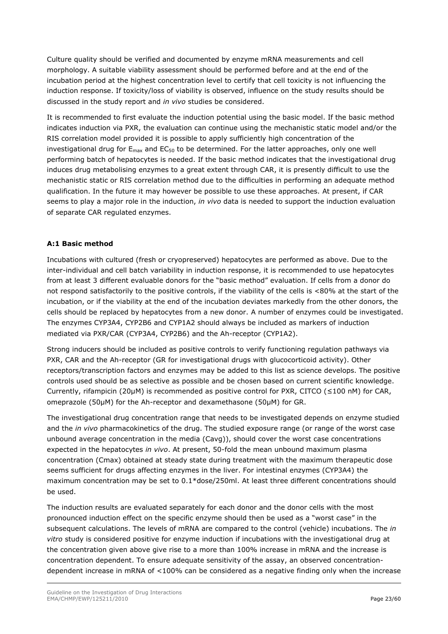Culture quality should be verified and documented by enzyme mRNA measurements and cell morphology. A suitable viability assessment should be performed before and at the end of the incubation period at the highest concentration level to certify that cell toxicity is not influencing the induction response. If toxicity/loss of viability is observed, influence on the study results should be discussed in the study report and *in vivo* studies be considered.

It is recommended to first evaluate the induction potential using the basic model. If the basic method indicates induction via PXR, the evaluation can continue using the mechanistic static model and/or the RIS correlation model provided it is possible to apply sufficiently high concentration of the investigational drug for  $E_{\text{max}}$  and  $EC_{50}$  to be determined. For the latter approaches, only one well performing batch of hepatocytes is needed. If the basic method indicates that the investigational drug induces drug metabolising enzymes to a great extent through CAR, it is presently difficult to use the mechanistic static or RIS correlation method due to the difficulties in performing an adequate method qualification. In the future it may however be possible to use these approaches. At present, if CAR seems to play a major role in the induction, *in vivo* data is needed to support the induction evaluation of separate CAR regulated enzymes.

### **A:1 Basic method**

Incubations with cultured (fresh or cryopreserved) hepatocytes are performed as above. Due to the inter-individual and cell batch variability in induction response, it is recommended to use hepatocytes from at least 3 different evaluable donors for the "basic method" evaluation. If cells from a donor do not respond satisfactorily to the positive controls, if the viability of the cells is <80% at the start of the incubation, or if the viability at the end of the incubation deviates markedly from the other donors, the cells should be replaced by hepatocytes from a new donor. A number of enzymes could be investigated. The enzymes CYP3A4, CYP2B6 and CYP1A2 should always be included as markers of induction mediated via PXR/CAR (CYP3A4, CYP2B6) and the Ah-receptor (CYP1A2).

Strong inducers should be included as positive controls to verify functioning regulation pathways via PXR, CAR and the Ah-receptor (GR for investigational drugs with glucocorticoid activity). Other receptors/transcription factors and enzymes may be added to this list as science develops. The positive controls used should be as selective as possible and be chosen based on current scientific knowledge. Currently, rifampicin (20µM) is recommended as positive control for PXR, CITCO ( $\leq$ 100 nM) for CAR, omeprazole (50µM) for the Ah-receptor and dexamethasone (50µM) for GR.

The investigational drug concentration range that needs to be investigated depends on enzyme studied and the *in vivo* pharmacokinetics of the drug. The studied exposure range (or range of the worst case unbound average concentration in the media (Cavg)), should cover the worst case concentrations expected in the hepatocytes *in vivo*. At present, 50-fold the mean unbound maximum plasma concentration (Cmax) obtained at steady state during treatment with the maximum therapeutic dose seems sufficient for drugs affecting enzymes in the liver. For intestinal enzymes (CYP3A4) the maximum concentration may be set to 0.1\*dose/250ml. At least three different concentrations should be used.

The induction results are evaluated separately for each donor and the donor cells with the most pronounced induction effect on the specific enzyme should then be used as a "worst case" in the subsequent calculations. The levels of mRNA are compared to the control (vehicle) incubations. The *in vitro* study is considered positive for enzyme induction if incubations with the investigational drug at the concentration given above give rise to a more than 100% increase in mRNA and the increase is concentration dependent. To ensure adequate sensitivity of the assay, an observed concentrationdependent increase in mRNA of <100% can be considered as a negative finding only when the increase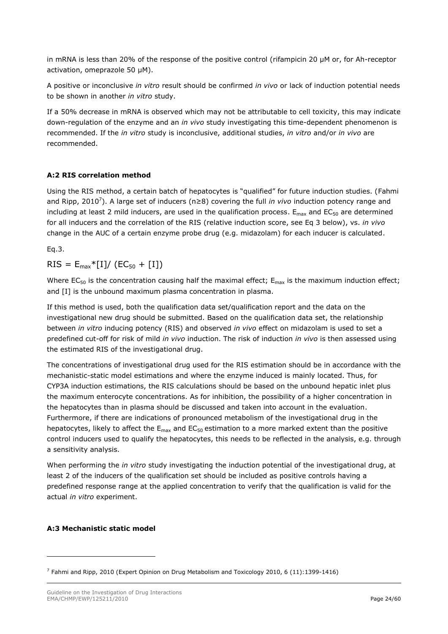in mRNA is less than 20% of the response of the positive control (rifampicin 20 µM or, for Ah-receptor activation, omeprazole 50 μM).

A positive or inconclusive *in vitro* result should be confirmed *in vivo* or lack of induction potential needs to be shown in another *in vitro* study.

If a 50% decrease in mRNA is observed which may not be attributable to cell toxicity, this may indicate down-regulation of the enzyme and an *in vivo* study investigating this time-dependent phenomenon is recommended. If the *in vitro* study is inconclusive, additional studies, *in vitro* and/or *in vivo* are recommended.

#### **A:2 RIS correlation method**

Using the RIS method, a certain batch of hepatocytes is "qualified" for future induction studies. (Fahmi and Ripp, 2010<sup>7</sup> ). A large set of inducers (n≥8) covering the full *in vivo* induction potency range and including at least 2 mild inducers, are used in the qualification process.  $E_{\text{max}}$  and EC<sub>50</sub> are determined for all inducers and the correlation of the RIS (relative induction score, see Eq 3 below), vs. *in vivo* change in the AUC of a certain enzyme probe drug (e.g. midazolam) for each inducer is calculated.

Eq.3.

### $RIS = E_{max} * [I]/ (EC_{50} + [I])$

Where EC<sub>50</sub> is the concentration causing half the maximal effect;  $E_{\text{max}}$  is the maximum induction effect; and [I] is the unbound maximum plasma concentration in plasma.

If this method is used, both the qualification data set/qualification report and the data on the investigational new drug should be submitted. Based on the qualification data set, the relationship between *in vitro* inducing potency (RIS) and observed *in vivo* effect on midazolam is used to set a predefined cut-off for risk of mild *in vivo* induction. The risk of induction *in vivo* is then assessed using the estimated RIS of the investigational drug.

The concentrations of investigational drug used for the RIS estimation should be in accordance with the mechanistic-static model estimations and where the enzyme induced is mainly located. Thus, for CYP3A induction estimations, the RIS calculations should be based on the unbound hepatic inlet plus the maximum enterocyte concentrations. As for inhibition, the possibility of a higher concentration in the hepatocytes than in plasma should be discussed and taken into account in the evaluation. Furthermore, if there are indications of pronounced metabolism of the investigational drug in the hepatocytes, likely to affect the  $E_{max}$  and  $EC_{50}$  estimation to a more marked extent than the positive control inducers used to qualify the hepatocytes, this needs to be reflected in the analysis, e.g. through a sensitivity analysis.

When performing the *in vitro* study investigating the induction potential of the investigational drug, at least 2 of the inducers of the qualification set should be included as positive controls having a predefined response range at the applied concentration to verify that the qualification is valid for the actual *in vitro* experiment.

#### **A:3 Mechanistic static model**

ł

 $^7$  Fahmi and Ripp, 2010 (Expert Opinion on Drug Metabolism and Toxicology 2010, 6 (11):1399-1416)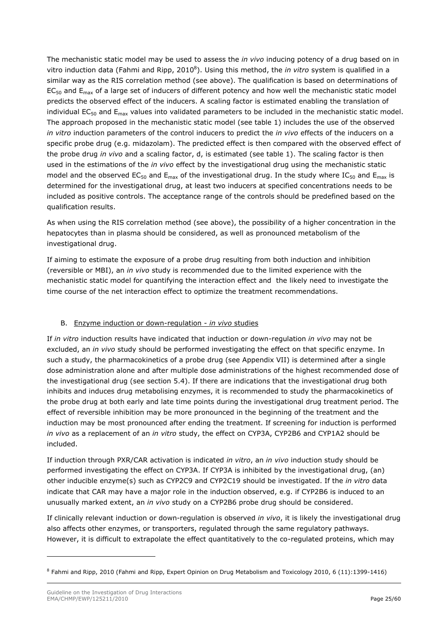The mechanistic static model may be used to assess the *in vivo* inducing potency of a drug based on in vitro induction data (Fahmi and Ripp, 2010<sup>8</sup>). Using this method, the *in vitro* system is qualified in a similar way as the RIS correlation method (see above). The qualification is based on determinations of  $EC_{50}$  and  $E_{\text{max}}$  of a large set of inducers of different potency and how well the mechanistic static model predicts the observed effect of the inducers. A scaling factor is estimated enabling the translation of individual  $EC_{50}$  and  $E_{max}$  values into validated parameters to be included in the mechanistic static model. The approach proposed in the mechanistic static model (see table 1) includes the use of the observed *in vitro* induction parameters of the control inducers to predict the *in vivo* effects of the inducers on a specific probe drug (e.g. midazolam). The predicted effect is then compared with the observed effect of the probe drug *in vivo* and a scaling factor, d, is estimated (see table 1). The scaling factor is then used in the estimations of the *in vivo* effect by the investigational drug using the mechanistic static model and the observed EC<sub>50</sub> and E<sub>max</sub> of the investigational drug. In the study where IC<sub>50</sub> and E<sub>max</sub> is determined for the investigational drug, at least two inducers at specified concentrations needs to be included as positive controls. The acceptance range of the controls should be predefined based on the qualification results.

As when using the RIS correlation method (see above), the possibility of a higher concentration in the hepatocytes than in plasma should be considered, as well as pronounced metabolism of the investigational drug.

If aiming to estimate the exposure of a probe drug resulting from both induction and inhibition (reversible or MBI), an *in vivo* study is recommended due to the limited experience with the mechanistic static model for quantifying the interaction effect and the likely need to investigate the time course of the net interaction effect to optimize the treatment recommendations.

### B. Enzyme induction or down-regulation - *in vivo* studies

If *in vitro* induction results have indicated that induction or down-regulation *in vivo* may not be excluded, an *in vivo* study should be performed investigating the effect on that specific enzyme. In such a study, the pharmacokinetics of a probe drug (see Appendix VII) is determined after a single dose administration alone and after multiple dose administrations of the highest recommended dose of the investigational drug (see section 5.4). If there are indications that the investigational drug both inhibits and induces drug metabolising enzymes, it is recommended to study the pharmacokinetics of the probe drug at both early and late time points during the investigational drug treatment period. The effect of reversible inhibition may be more pronounced in the beginning of the treatment and the induction may be most pronounced after ending the treatment. If screening for induction is performed *in vivo* as a replacement of an *in vitro* study, the effect on CYP3A, CYP2B6 and CYP1A2 should be included.

If induction through PXR/CAR activation is indicated *in vitro*, an *in vivo* induction study should be performed investigating the effect on CYP3A. If CYP3A is inhibited by the investigational drug, (an) other inducible enzyme(s) such as CYP2C9 and CYP2C19 should be investigated. If the *in vitro* data indicate that CAR may have a major role in the induction observed, e.g. if CYP2B6 is induced to an unusually marked extent, an *in vivo* study on a CYP2B6 probe drug should be considered.

If clinically relevant induction or down-regulation is observed *in vivo*, it is likely the investigational drug also affects other enzymes, or transporters, regulated through the same regulatory pathways. However, it is difficult to extrapolate the effect quantitatively to the co-regulated proteins, which may

ł

<sup>&</sup>lt;sup>8</sup> Fahmi and Ripp, 2010 (Fahmi and Ripp, Expert Opinion on Drug Metabolism and Toxicology 2010, 6 (11):1399-1416)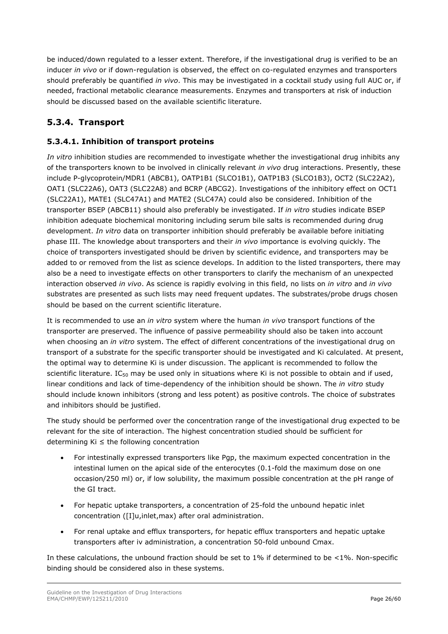be induced/down regulated to a lesser extent. Therefore, if the investigational drug is verified to be an inducer *in vivo* or if down-regulation is observed, the effect on co-regulated enzymes and transporters should preferably be quantified *in vivo*. This may be investigated in a cocktail study using full AUC or, if needed, fractional metabolic clearance measurements. Enzymes and transporters at risk of induction should be discussed based on the available scientific literature.

## <span id="page-25-0"></span>**5.3.4. Transport**

## **5.3.4.1. Inhibition of transport proteins**

*In vitro* inhibition studies are recommended to investigate whether the investigational drug inhibits any of the transporters known to be involved in clinically relevant *in vivo* drug interactions. Presently, these include P-glycoprotein/MDR1 (ABCB1), OATP1B1 (SLCO1B1), OATP1B3 (SLCO1B3), OCT2 (SLC22A2), OAT1 (SLC22A6), OAT3 (SLC22A8) and BCRP (ABCG2). Investigations of the inhibitory effect on OCT1 (SLC22A1), MATE1 (SLC47A1) and MATE2 (SLC47A) could also be considered. Inhibition of the transporter BSEP (ABCB11) should also preferably be investigated. If *in vitro* studies indicate BSEP inhibition adequate biochemical monitoring including serum bile salts is recommended during drug development. *In vitro* data on transporter inhibition should preferably be available before initiating phase III. The knowledge about transporters and their *in vivo* importance is evolving quickly. The choice of transporters investigated should be driven by scientific evidence, and transporters may be added to or removed from the list as science develops. In addition to the listed transporters, there may also be a need to investigate effects on other transporters to clarify the mechanism of an unexpected interaction observed *in vivo*. As science is rapidly evolving in this field, no lists on *in vitro* and *in vivo* substrates are presented as such lists may need frequent updates. The substrates/probe drugs chosen should be based on the current scientific literature.

It is recommended to use an *in vitro* system where the human *in vivo* transport functions of the transporter are preserved. The influence of passive permeability should also be taken into account when choosing an *in vitro* system. The effect of different concentrations of the investigational drug on transport of a substrate for the specific transporter should be investigated and Ki calculated. At present, the optimal way to determine Ki is under discussion. The applicant is recommended to follow the scientific literature.  $IC_{50}$  may be used only in situations where Ki is not possible to obtain and if used, linear conditions and lack of time-dependency of the inhibition should be shown. The *in vitro* study should include known inhibitors (strong and less potent) as positive controls. The choice of substrates and inhibitors should be justified.

The study should be performed over the concentration range of the investigational drug expected to be relevant for the site of interaction. The highest concentration studied should be sufficient for determining Ki ≤ the following concentration

- For intestinally expressed transporters like Pgp, the maximum expected concentration in the intestinal lumen on the apical side of the enterocytes (0.1-fold the maximum dose on one occasion/250 ml) or, if low solubility, the maximum possible concentration at the pH range of the GI tract.
- For hepatic uptake transporters, a concentration of 25-fold the unbound hepatic inlet concentration ([I]u,inlet,max) after oral administration.
- For renal uptake and efflux transporters, for hepatic efflux transporters and hepatic uptake transporters after iv administration, a concentration 50-fold unbound Cmax.

In these calculations, the unbound fraction should be set to  $1\%$  if determined to be <1%. Non-specific binding should be considered also in these systems.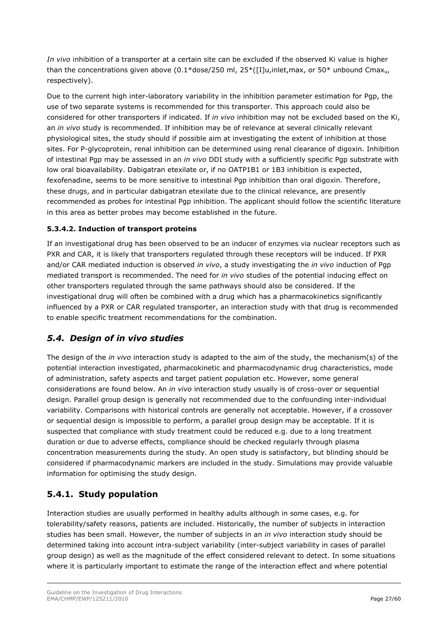*In vivo* inhibition of a transporter at a certain site can be excluded if the observed Ki value is higher than the concentrations given above (0.1\*dose/250 ml,  $25^*$ ([I]u,inlet,max, or 50\* unbound Cmax<sub>u</sub>, respectively).

Due to the current high inter-laboratory variability in the inhibition parameter estimation for Pgp, the use of two separate systems is recommended for this transporter. This approach could also be considered for other transporters if indicated. If *in vivo* inhibition may not be excluded based on the Ki, an *in vivo* study is recommended. If inhibition may be of relevance at several clinically relevant physiological sites, the study should if possible aim at investigating the extent of inhibition at those sites. For P-glycoprotein, renal inhibition can be determined using renal clearance of digoxin. Inhibition of intestinal Pgp may be assessed in an *in vivo* DDI study with a sufficiently specific Pgp substrate with low oral bioavailability. Dabigatran etexilate or, if no OATP1B1 or 1B3 inhibition is expected, fexofenadine, seems to be more sensitive to intestinal Pgp inhibition than oral digoxin. Therefore, these drugs, and in particular dabigatran etexilate due to the clinical relevance, are presently recommended as probes for intestinal Pgp inhibition. The applicant should follow the scientific literature in this area as better probes may become established in the future.

## **5.3.4.2. Induction of transport proteins**

If an investigational drug has been observed to be an inducer of enzymes via nuclear receptors such as PXR and CAR, it is likely that transporters regulated through these receptors will be induced. If PXR and/or CAR mediated induction is observed *in vivo*, a study investigating the *in vivo* induction of Pgp mediated transport is recommended. The need for *in vivo* studies of the potential inducing effect on other transporters regulated through the same pathways should also be considered. If the investigational drug will often be combined with a drug which has a pharmacokinetics significantly influenced by a PXR or CAR regulated transporter, an interaction study with that drug is recommended to enable specific treatment recommendations for the combination.

## <span id="page-26-0"></span>*5.4. Design of in vivo studies*

The design of the *in vivo* interaction study is adapted to the aim of the study, the mechanism(s) of the potential interaction investigated, pharmacokinetic and pharmacodynamic drug characteristics, mode of administration, safety aspects and target patient population etc. However, some general considerations are found below. An *in vivo* interaction study usually is of cross-over or sequential design. Parallel group design is generally not recommended due to the confounding inter-individual variability. Comparisons with historical controls are generally not acceptable. However, if a crossover or sequential design is impossible to perform, a parallel group design may be acceptable. If it is suspected that compliance with study treatment could be reduced e.g. due to a long treatment duration or due to adverse effects, compliance should be checked regularly through plasma concentration measurements during the study. An open study is satisfactory, but blinding should be considered if pharmacodynamic markers are included in the study. Simulations may provide valuable information for optimising the study design.

## <span id="page-26-1"></span>**5.4.1. Study population**

Interaction studies are usually performed in healthy adults although in some cases, e.g. for tolerability/safety reasons, patients are included. Historically, the number of subjects in interaction studies has been small. However, the number of subjects in an *in vivo* interaction study should be determined taking into account intra-subject variability (inter-subject variability in cases of parallel group design) as well as the magnitude of the effect considered relevant to detect. In some situations where it is particularly important to estimate the range of the interaction effect and where potential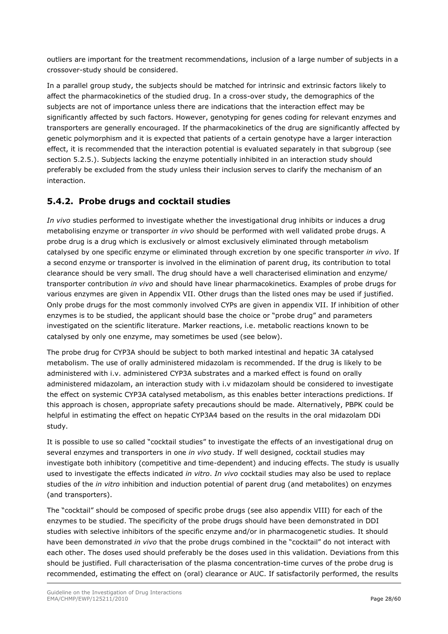outliers are important for the treatment recommendations, inclusion of a large number of subjects in a crossover-study should be considered.

In a parallel group study, the subjects should be matched for intrinsic and extrinsic factors likely to affect the pharmacokinetics of the studied drug. In a cross-over study, the demographics of the subjects are not of importance unless there are indications that the interaction effect may be significantly affected by such factors. However, genotyping for genes coding for relevant enzymes and transporters are generally encouraged. If the pharmacokinetics of the drug are significantly affected by genetic polymorphism and it is expected that patients of a certain genotype have a larger interaction effect, it is recommended that the interaction potential is evaluated separately in that subgroup (see section 5.2.5.). Subjects lacking the enzyme potentially inhibited in an interaction study should preferably be excluded from the study unless their inclusion serves to clarify the mechanism of an interaction.

## <span id="page-27-0"></span>**5.4.2. Probe drugs and cocktail studies**

*In vivo* studies performed to investigate whether the investigational drug inhibits or induces a drug metabolising enzyme or transporter *in vivo* should be performed with well validated probe drugs. A probe drug is a drug which is exclusively or almost exclusively eliminated through metabolism catalysed by one specific enzyme or eliminated through excretion by one specific transporter *in vivo*. If a second enzyme or transporter is involved in the elimination of parent drug, its contribution to total clearance should be very small. The drug should have a well characterised elimination and enzyme/ transporter contribution *in vivo* and should have linear pharmacokinetics. Examples of probe drugs for various enzymes are given in Appendix VII. Other drugs than the listed ones may be used if justified. Only probe drugs for the most commonly involved CYPs are given in appendix VII. If inhibition of other enzymes is to be studied, the applicant should base the choice or "probe drug" and parameters investigated on the scientific literature. Marker reactions, i.e. metabolic reactions known to be catalysed by only one enzyme, may sometimes be used (see below).

The probe drug for CYP3A should be subject to both marked intestinal and hepatic 3A catalysed metabolism. The use of orally administered midazolam is recommended. If the drug is likely to be administered with i.v. administered CYP3A substrates and a marked effect is found on orally administered midazolam, an interaction study with i.v midazolam should be considered to investigate the effect on systemic CYP3A catalysed metabolism, as this enables better interactions predictions. If this approach is chosen, appropriate safety precautions should be made. Alternatively, PBPK could be helpful in estimating the effect on hepatic CYP3A4 based on the results in the oral midazolam DDi study.

It is possible to use so called "cocktail studies" to investigate the effects of an investigational drug on several enzymes and transporters in one *in vivo* study. If well designed, cocktail studies may investigate both inhibitory (competitive and time-dependent) and inducing effects. The study is usually used to investigate the effects indicated *in vitro*. *In vivo* cocktail studies may also be used to replace studies of the *in vitro* inhibition and induction potential of parent drug (and metabolites) on enzymes (and transporters).

The "cocktail" should be composed of specific probe drugs (see also appendix VIII) for each of the enzymes to be studied. The specificity of the probe drugs should have been demonstrated in DDI studies with selective inhibitors of the specific enzyme and/or in pharmacogenetic studies. It should have been demonstrated *in vivo* that the probe drugs combined in the "cocktail" do not interact with each other. The doses used should preferably be the doses used in this validation. Deviations from this should be justified. Full characterisation of the plasma concentration-time curves of the probe drug is recommended, estimating the effect on (oral) clearance or AUC. If satisfactorily performed, the results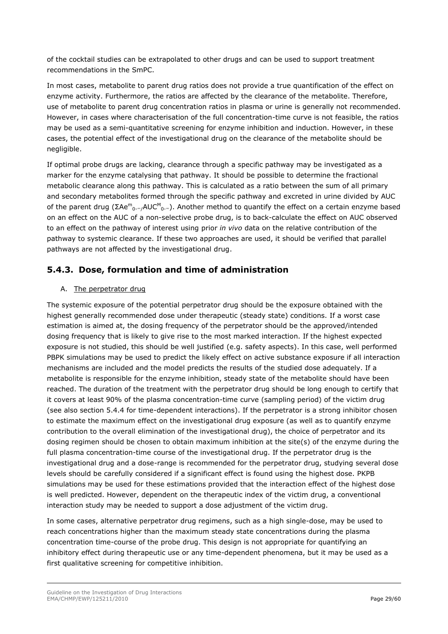of the cocktail studies can be extrapolated to other drugs and can be used to support treatment recommendations in the SmPC.

In most cases, metabolite to parent drug ratios does not provide a true quantification of the effect on enzyme activity. Furthermore, the ratios are affected by the clearance of the metabolite. Therefore, use of metabolite to parent drug concentration ratios in plasma or urine is generally not recommended. However, in cases where characterisation of the full concentration-time curve is not feasible, the ratios may be used as a semi-quantitative screening for enzyme inhibition and induction. However, in these cases, the potential effect of the investigational drug on the clearance of the metabolite should be negligible.

If optimal probe drugs are lacking, clearance through a specific pathway may be investigated as a marker for the enzyme catalysing that pathway. It should be possible to determine the fractional metabolic clearance along this pathway. This is calculated as a ratio between the sum of all primary and secondary metabolites formed through the specific pathway and excreted in urine divided by AUC of the parent drug (ΣAe<sup>m</sup><sub>0-∞/</sub>AUC<sup>M</sup><sub>0-∞</sub>). Another method to quantify the effect on a certain enzyme based on an effect on the AUC of a non-selective probe drug, is to back-calculate the effect on AUC observed to an effect on the pathway of interest using prior *in vivo* data on the relative contribution of the pathway to systemic clearance. If these two approaches are used, it should be verified that parallel pathways are not affected by the investigational drug.

## <span id="page-28-0"></span>**5.4.3. Dose, formulation and time of administration**

### A. The perpetrator drug

The systemic exposure of the potential perpetrator drug should be the exposure obtained with the highest generally recommended dose under therapeutic (steady state) conditions. If a worst case estimation is aimed at, the dosing frequency of the perpetrator should be the approved/intended dosing frequency that is likely to give rise to the most marked interaction. If the highest expected exposure is not studied, this should be well justified (e.g. safety aspects). In this case, well performed PBPK simulations may be used to predict the likely effect on active substance exposure if all interaction mechanisms are included and the model predicts the results of the studied dose adequately. If a metabolite is responsible for the enzyme inhibition, steady state of the metabolite should have been reached. The duration of the treatment with the perpetrator drug should be long enough to certify that it covers at least 90% of the plasma concentration-time curve (sampling period) of the victim drug (see also section 5.4.4 for time-dependent interactions). If the perpetrator is a strong inhibitor chosen to estimate the maximum effect on the investigational drug exposure (as well as to quantify enzyme contribution to the overall elimination of the investigational drug), the choice of perpetrator and its dosing regimen should be chosen to obtain maximum inhibition at the site(s) of the enzyme during the full plasma concentration-time course of the investigational drug. If the perpetrator drug is the investigational drug and a dose-range is recommended for the perpetrator drug, studying several dose levels should be carefully considered if a significant effect is found using the highest dose. PKPB simulations may be used for these estimations provided that the interaction effect of the highest dose is well predicted. However, dependent on the therapeutic index of the victim drug, a conventional interaction study may be needed to support a dose adjustment of the victim drug.

In some cases, alternative perpetrator drug regimens, such as a high single-dose, may be used to reach concentrations higher than the maximum steady state concentrations during the plasma concentration time-course of the probe drug. This design is not appropriate for quantifying an inhibitory effect during therapeutic use or any time-dependent phenomena, but it may be used as a first qualitative screening for competitive inhibition.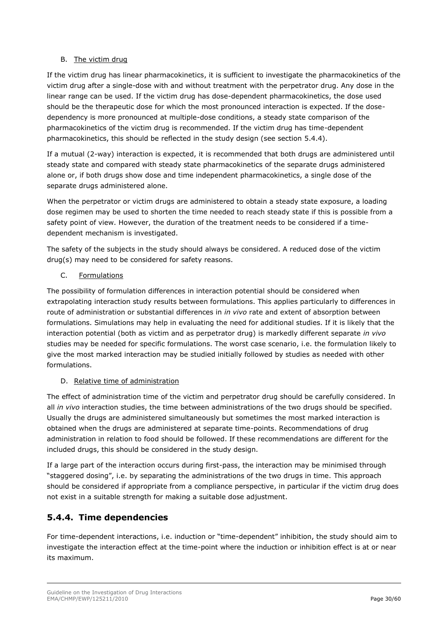#### B. The victim drug

If the victim drug has linear pharmacokinetics, it is sufficient to investigate the pharmacokinetics of the victim drug after a single-dose with and without treatment with the perpetrator drug. Any dose in the linear range can be used. If the victim drug has dose-dependent pharmacokinetics, the dose used should be the therapeutic dose for which the most pronounced interaction is expected. If the dosedependency is more pronounced at multiple-dose conditions, a steady state comparison of the pharmacokinetics of the victim drug is recommended. If the victim drug has time-dependent pharmacokinetics, this should be reflected in the study design (see section 5.4.4).

If a mutual (2-way) interaction is expected, it is recommended that both drugs are administered until steady state and compared with steady state pharmacokinetics of the separate drugs administered alone or, if both drugs show dose and time independent pharmacokinetics, a single dose of the separate drugs administered alone.

When the perpetrator or victim drugs are administered to obtain a steady state exposure, a loading dose regimen may be used to shorten the time needed to reach steady state if this is possible from a safety point of view. However, the duration of the treatment needs to be considered if a timedependent mechanism is investigated.

The safety of the subjects in the study should always be considered. A reduced dose of the victim drug(s) may need to be considered for safety reasons.

### C. Formulations

The possibility of formulation differences in interaction potential should be considered when extrapolating interaction study results between formulations. This applies particularly to differences in route of administration or substantial differences in *in vivo* rate and extent of absorption between formulations. Simulations may help in evaluating the need for additional studies. If it is likely that the interaction potential (both as victim and as perpetrator drug) is markedly different separate *in vivo* studies may be needed for specific formulations. The worst case scenario, i.e. the formulation likely to give the most marked interaction may be studied initially followed by studies as needed with other formulations.

### D. Relative time of administration

The effect of administration time of the victim and perpetrator drug should be carefully considered. In all *in vivo* interaction studies, the time between administrations of the two drugs should be specified. Usually the drugs are administered simultaneously but sometimes the most marked interaction is obtained when the drugs are administered at separate time-points. Recommendations of drug administration in relation to food should be followed. If these recommendations are different for the included drugs, this should be considered in the study design.

If a large part of the interaction occurs during first-pass, the interaction may be minimised through "staggered dosing", i.e. by separating the administrations of the two drugs in time. This approach should be considered if appropriate from a compliance perspective, in particular if the victim drug does not exist in a suitable strength for making a suitable dose adjustment.

## <span id="page-29-0"></span>**5.4.4. Time dependencies**

For time-dependent interactions, i.e. induction or "time-dependent" inhibition, the study should aim to investigate the interaction effect at the time-point where the induction or inhibition effect is at or near its maximum.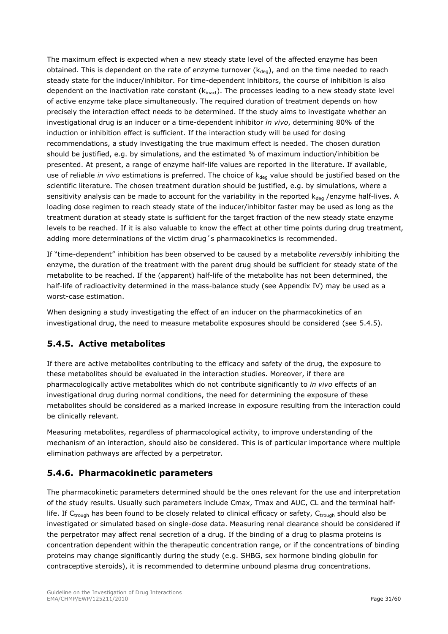The maximum effect is expected when a new steady state level of the affected enzyme has been obtained. This is dependent on the rate of enzyme turnover  $(k_{deq})$ , and on the time needed to reach steady state for the inducer/inhibitor. For time-dependent inhibitors, the course of inhibition is also dependent on the inactivation rate constant  $(k_{\text{inact}})$ . The processes leading to a new steady state level of active enzyme take place simultaneously. The required duration of treatment depends on how precisely the interaction effect needs to be determined. If the study aims to investigate whether an investigational drug is an inducer or a time-dependent inhibitor *in vivo*, determining 80% of the induction or inhibition effect is sufficient. If the interaction study will be used for dosing recommendations, a study investigating the true maximum effect is needed. The chosen duration should be justified, e.g. by simulations, and the estimated % of maximum induction/inhibition be presented. At present, a range of enzyme half-life values are reported in the literature. If available, use of reliable *in vivo* estimations is preferred. The choice of k<sub>dea</sub> value should be justified based on the scientific literature. The chosen treatment duration should be justified, e.g. by simulations, where a sensitivity analysis can be made to account for the variability in the reported  $k_{den}$  /enzyme half-lives. A loading dose regimen to reach steady state of the inducer/inhibitor faster may be used as long as the treatment duration at steady state is sufficient for the target fraction of the new steady state enzyme levels to be reached. If it is also valuable to know the effect at other time points during drug treatment, adding more determinations of the victim drug´s pharmacokinetics is recommended.

If "time-dependent" inhibition has been observed to be caused by a metabolite *reversibly* inhibiting the enzyme, the duration of the treatment with the parent drug should be sufficient for steady state of the metabolite to be reached. If the (apparent) half-life of the metabolite has not been determined, the half-life of radioactivity determined in the mass-balance study (see Appendix IV) may be used as a worst-case estimation.

When designing a study investigating the effect of an inducer on the pharmacokinetics of an investigational drug, the need to measure metabolite exposures should be considered (see 5.4.5).

## <span id="page-30-0"></span>**5.4.5. Active metabolites**

If there are active metabolites contributing to the efficacy and safety of the drug, the exposure to these metabolites should be evaluated in the interaction studies. Moreover, if there are pharmacologically active metabolites which do not contribute significantly to *in vivo* effects of an investigational drug during normal conditions, the need for determining the exposure of these metabolites should be considered as a marked increase in exposure resulting from the interaction could be clinically relevant.

Measuring metabolites, regardless of pharmacological activity, to improve understanding of the mechanism of an interaction, should also be considered. This is of particular importance where multiple elimination pathways are affected by a perpetrator.

## <span id="page-30-1"></span>**5.4.6. Pharmacokinetic parameters**

The pharmacokinetic parameters determined should be the ones relevant for the use and interpretation of the study results. Usually such parameters include Cmax, Tmax and AUC, CL and the terminal halflife. If C<sub>trough</sub> has been found to be closely related to clinical efficacy or safety, C<sub>trough</sub> should also be investigated or simulated based on single-dose data. Measuring renal clearance should be considered if the perpetrator may affect renal secretion of a drug. If the binding of a drug to plasma proteins is concentration dependent within the therapeutic concentration range, or if the concentrations of binding proteins may change significantly during the study (e.g. SHBG, sex hormone binding globulin for contraceptive steroids), it is recommended to determine unbound plasma drug concentrations.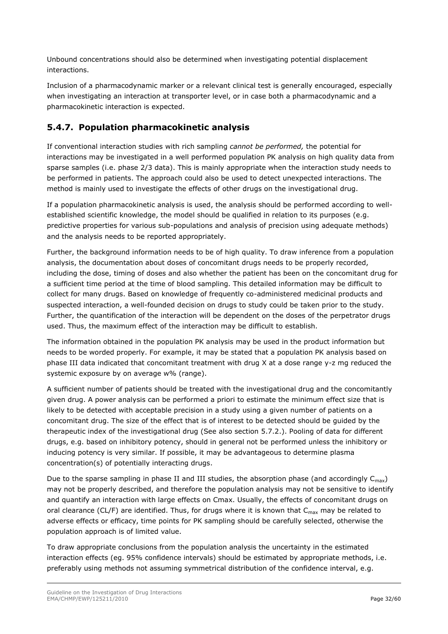Unbound concentrations should also be determined when investigating potential displacement interactions.

Inclusion of a pharmacodynamic marker or a relevant clinical test is generally encouraged, especially when investigating an interaction at transporter level, or in case both a pharmacodynamic and a pharmacokinetic interaction is expected.

## <span id="page-31-0"></span>**5.4.7. Population pharmacokinetic analysis**

If conventional interaction studies with rich sampling *cannot be performed,* the potential for interactions may be investigated in a well performed population PK analysis on high quality data from sparse samples (i.e. phase 2/3 data). This is mainly appropriate when the interaction study needs to be performed in patients. The approach could also be used to detect unexpected interactions. The method is mainly used to investigate the effects of other drugs on the investigational drug.

If a population pharmacokinetic analysis is used, the analysis should be performed according to wellestablished scientific knowledge, the model should be qualified in relation to its purposes (e.g. predictive properties for various sub-populations and analysis of precision using adequate methods) and the analysis needs to be reported appropriately.

Further, the background information needs to be of high quality. To draw inference from a population analysis, the documentation about doses of concomitant drugs needs to be properly recorded, including the dose, timing of doses and also whether the patient has been on the concomitant drug for a sufficient time period at the time of blood sampling. This detailed information may be difficult to collect for many drugs. Based on knowledge of frequently co-administered medicinal products and suspected interaction, a well-founded decision on drugs to study could be taken prior to the study. Further, the quantification of the interaction will be dependent on the doses of the perpetrator drugs used. Thus, the maximum effect of the interaction may be difficult to establish.

The information obtained in the population PK analysis may be used in the product information but needs to be worded properly. For example, it may be stated that a population PK analysis based on phase III data indicated that concomitant treatment with drug X at a dose range y-z mg reduced the systemic exposure by on average w% (range).

A sufficient number of patients should be treated with the investigational drug and the concomitantly given drug. A power analysis can be performed a priori to estimate the minimum effect size that is likely to be detected with acceptable precision in a study using a given number of patients on a concomitant drug. The size of the effect that is of interest to be detected should be guided by the therapeutic index of the investigational drug (See also section 5.7.2.). Pooling of data for different drugs, e.g. based on inhibitory potency, should in general not be performed unless the inhibitory or inducing potency is very similar. If possible, it may be advantageous to determine plasma concentration(s) of potentially interacting drugs.

Due to the sparse sampling in phase II and III studies, the absorption phase (and accordingly  $C_{max}$ ) may not be properly described, and therefore the population analysis may not be sensitive to identify and quantify an interaction with large effects on Cmax. Usually, the effects of concomitant drugs on oral clearance (CL/F) are identified. Thus, for drugs where it is known that  $C_{max}$  may be related to adverse effects or efficacy, time points for PK sampling should be carefully selected, otherwise the population approach is of limited value.

To draw appropriate conclusions from the population analysis the uncertainty in the estimated interaction effects (eg. 95% confidence intervals) should be estimated by appropriate methods, i.e. preferably using methods not assuming symmetrical distribution of the confidence interval, e.g.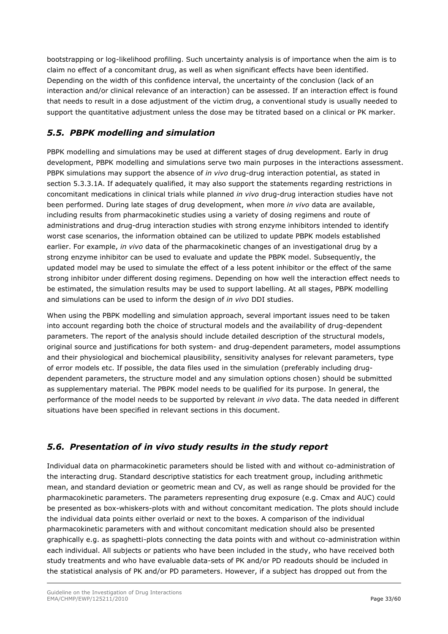bootstrapping or log-likelihood profiling. Such uncertainty analysis is of importance when the aim is to claim no effect of a concomitant drug, as well as when significant effects have been identified. Depending on the width of this confidence interval, the uncertainty of the conclusion (lack of an interaction and/or clinical relevance of an interaction) can be assessed. If an interaction effect is found that needs to result in a dose adjustment of the victim drug, a conventional study is usually needed to support the quantitative adjustment unless the dose may be titrated based on a clinical or PK marker.

## <span id="page-32-0"></span>*5.5. PBPK modelling and simulation*

PBPK modelling and simulations may be used at different stages of drug development. Early in drug development, PBPK modelling and simulations serve two main purposes in the interactions assessment. PBPK simulations may support the absence of *in vivo* drug-drug interaction potential, as stated in section 5.3.3.1A. If adequately qualified, it may also support the statements regarding restrictions in concomitant medications in clinical trials while planned *in vivo* drug-drug interaction studies have not been performed. During late stages of drug development, when more *in vivo* data are available, including results from pharmacokinetic studies using a variety of dosing regimens and route of administrations and drug-drug interaction studies with strong enzyme inhibitors intended to identify worst case scenarios, the information obtained can be utilized to update PBPK models established earlier. For example, *in vivo* data of the pharmacokinetic changes of an investigational drug by a strong enzyme inhibitor can be used to evaluate and update the PBPK model. Subsequently, the updated model may be used to simulate the effect of a less potent inhibitor or the effect of the same strong inhibitor under different dosing regimens. Depending on how well the interaction effect needs to be estimated, the simulation results may be used to support labelling. At all stages, PBPK modelling and simulations can be used to inform the design of *in vivo* DDI studies.

When using the PBPK modelling and simulation approach, several important issues need to be taken into account regarding both the choice of structural models and the availability of drug-dependent parameters. The report of the analysis should include detailed description of the structural models, original source and justifications for both system- and drug-dependent parameters, model assumptions and their physiological and biochemical plausibility, sensitivity analyses for relevant parameters, type of error models etc. If possible, the data files used in the simulation (preferably including drugdependent parameters, the structure model and any simulation options chosen) should be submitted as supplementary material. The PBPK model needs to be qualified for its purpose. In general, the performance of the model needs to be supported by relevant *in vivo* data. The data needed in different situations have been specified in relevant sections in this document.

## <span id="page-32-1"></span>*5.6. Presentation of in vivo study results in the study report*

Individual data on pharmacokinetic parameters should be listed with and without co-administration of the interacting drug. Standard descriptive statistics for each treatment group, including arithmetic mean, and standard deviation or geometric mean and CV, as well as range should be provided for the pharmacokinetic parameters. The parameters representing drug exposure (e.g. Cmax and AUC) could be presented as box-whiskers-plots with and without concomitant medication. The plots should include the individual data points either overlaid or next to the boxes. A comparison of the individual pharmacokinetic parameters with and without concomitant medication should also be presented graphically e.g. as spaghetti-plots connecting the data points with and without co-administration within each individual. All subjects or patients who have been included in the study, who have received both study treatments and who have evaluable data-sets of PK and/or PD readouts should be included in the statistical analysis of PK and/or PD parameters. However, if a subject has dropped out from the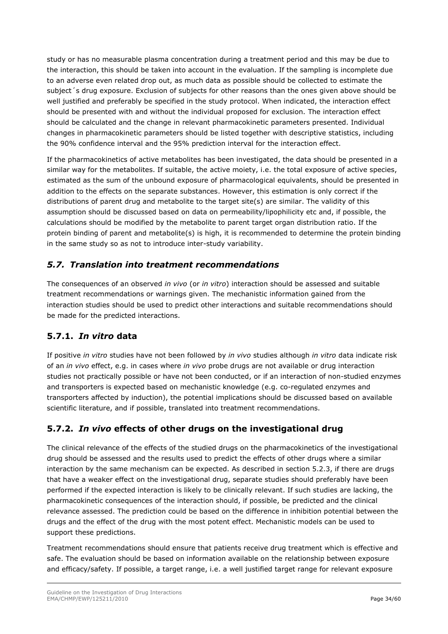study or has no measurable plasma concentration during a treatment period and this may be due to the interaction, this should be taken into account in the evaluation. If the sampling is incomplete due to an adverse even related drop out, as much data as possible should be collected to estimate the subject´s drug exposure. Exclusion of subjects for other reasons than the ones given above should be well justified and preferably be specified in the study protocol. When indicated, the interaction effect should be presented with and without the individual proposed for exclusion. The interaction effect should be calculated and the change in relevant pharmacokinetic parameters presented. Individual changes in pharmacokinetic parameters should be listed together with descriptive statistics, including the 90% confidence interval and the 95% prediction interval for the interaction effect.

If the pharmacokinetics of active metabolites has been investigated, the data should be presented in a similar way for the metabolites. If suitable, the active moiety, i.e. the total exposure of active species, estimated as the sum of the unbound exposure of pharmacological equivalents, should be presented in addition to the effects on the separate substances. However, this estimation is only correct if the distributions of parent drug and metabolite to the target site(s) are similar. The validity of this assumption should be discussed based on data on permeability/lipophilicity etc and, if possible, the calculations should be modified by the metabolite to parent target organ distribution ratio. If the protein binding of parent and metabolite(s) is high, it is recommended to determine the protein binding in the same study so as not to introduce inter-study variability.

## <span id="page-33-0"></span>*5.7. Translation into treatment recommendations*

The consequences of an observed *in vivo* (or *in vitro*) interaction should be assessed and suitable treatment recommendations or warnings given. The mechanistic information gained from the interaction studies should be used to predict other interactions and suitable recommendations should be made for the predicted interactions.

## <span id="page-33-1"></span>**5.7.1.** *In vitro* **data**

If positive *in vitro* studies have not been followed by *in vivo* studies although *in vitro* data indicate risk of an *in vivo* effect, e.g. in cases where *in vivo* probe drugs are not available or drug interaction studies not practically possible or have not been conducted, or if an interaction of non-studied enzymes and transporters is expected based on mechanistic knowledge (e.g. co-regulated enzymes and transporters affected by induction), the potential implications should be discussed based on available scientific literature, and if possible, translated into treatment recommendations.

## <span id="page-33-2"></span>**5.7.2.** *In vivo* **effects of other drugs on the investigational drug**

The clinical relevance of the effects of the studied drugs on the pharmacokinetics of the investigational drug should be assessed and the results used to predict the effects of other drugs where a similar interaction by the same mechanism can be expected. As described in section 5.2.3, if there are drugs that have a weaker effect on the investigational drug, separate studies should preferably have been performed if the expected interaction is likely to be clinically relevant. If such studies are lacking, the pharmacokinetic consequences of the interaction should, if possible, be predicted and the clinical relevance assessed. The prediction could be based on the difference in inhibition potential between the drugs and the effect of the drug with the most potent effect. Mechanistic models can be used to support these predictions.

Treatment recommendations should ensure that patients receive drug treatment which is effective and safe. The evaluation should be based on information available on the relationship between exposure and efficacy/safety. If possible, a target range, i.e. a well justified target range for relevant exposure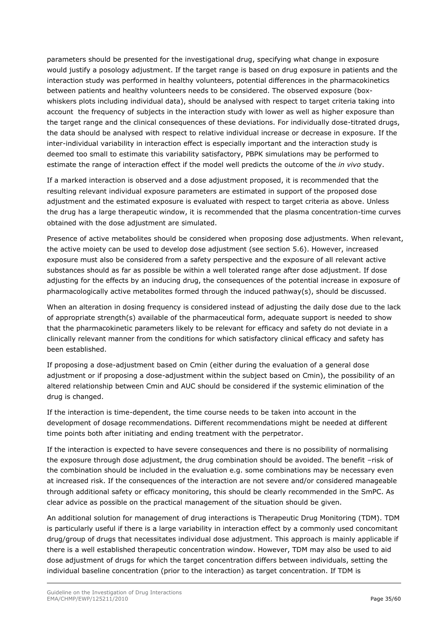parameters should be presented for the investigational drug, specifying what change in exposure would justify a posology adjustment. If the target range is based on drug exposure in patients and the interaction study was performed in healthy volunteers, potential differences in the pharmacokinetics between patients and healthy volunteers needs to be considered. The observed exposure (boxwhiskers plots including individual data), should be analysed with respect to target criteria taking into account the frequency of subjects in the interaction study with lower as well as higher exposure than the target range and the clinical consequences of these deviations. For individually dose-titrated drugs, the data should be analysed with respect to relative individual increase or decrease in exposure. If the inter-individual variability in interaction effect is especially important and the interaction study is deemed too small to estimate this variability satisfactory, PBPK simulations may be performed to estimate the range of interaction effect if the model well predicts the outcome of the *in vivo* study.

If a marked interaction is observed and a dose adjustment proposed, it is recommended that the resulting relevant individual exposure parameters are estimated in support of the proposed dose adjustment and the estimated exposure is evaluated with respect to target criteria as above. Unless the drug has a large therapeutic window, it is recommended that the plasma concentration-time curves obtained with the dose adjustment are simulated.

Presence of active metabolites should be considered when proposing dose adjustments. When relevant, the active moiety can be used to develop dose adjustment (see section 5.6). However, increased exposure must also be considered from a safety perspective and the exposure of all relevant active substances should as far as possible be within a well tolerated range after dose adjustment. If dose adjusting for the effects by an inducing drug, the consequences of the potential increase in exposure of pharmacologically active metabolites formed through the induced pathway(s), should be discussed.

When an alteration in dosing frequency is considered instead of adjusting the daily dose due to the lack of appropriate strength(s) available of the pharmaceutical form, adequate support is needed to show that the pharmacokinetic parameters likely to be relevant for efficacy and safety do not deviate in a clinically relevant manner from the conditions for which satisfactory clinical efficacy and safety has been established.

If proposing a dose-adjustment based on Cmin (either during the evaluation of a general dose adjustment or if proposing a dose-adjustment within the subject based on Cmin), the possibility of an altered relationship between Cmin and AUC should be considered if the systemic elimination of the drug is changed.

If the interaction is time-dependent, the time course needs to be taken into account in the development of dosage recommendations. Different recommendations might be needed at different time points both after initiating and ending treatment with the perpetrator.

If the interaction is expected to have severe consequences and there is no possibility of normalising the exposure through dose adjustment, the drug combination should be avoided. The benefit –risk of the combination should be included in the evaluation e.g. some combinations may be necessary even at increased risk. If the consequences of the interaction are not severe and/or considered manageable through additional safety or efficacy monitoring, this should be clearly recommended in the SmPC. As clear advice as possible on the practical management of the situation should be given.

An additional solution for management of drug interactions is Therapeutic Drug Monitoring (TDM). TDM is particularly useful if there is a large variability in interaction effect by a commonly used concomitant drug/group of drugs that necessitates individual dose adjustment. This approach is mainly applicable if there is a well established therapeutic concentration window. However, TDM may also be used to aid dose adjustment of drugs for which the target concentration differs between individuals, setting the individual baseline concentration (prior to the interaction) as target concentration. If TDM is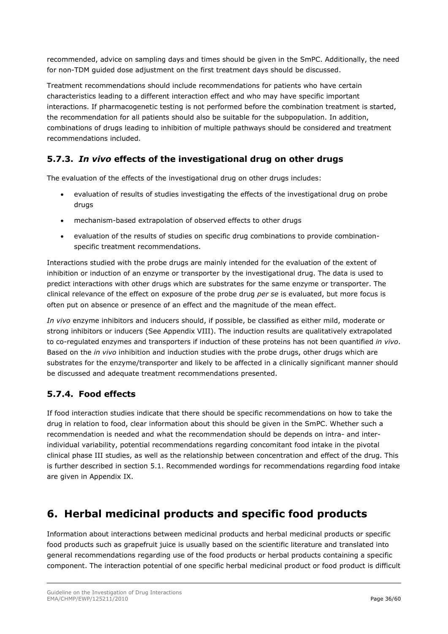recommended, advice on sampling days and times should be given in the SmPC. Additionally, the need for non-TDM guided dose adjustment on the first treatment days should be discussed.

Treatment recommendations should include recommendations for patients who have certain characteristics leading to a different interaction effect and who may have specific important interactions. If pharmacogenetic testing is not performed before the combination treatment is started, the recommendation for all patients should also be suitable for the subpopulation. In addition, combinations of drugs leading to inhibition of multiple pathways should be considered and treatment recommendations included.

## <span id="page-35-0"></span>**5.7.3.** *In vivo* **effects of the investigational drug on other drugs**

The evaluation of the effects of the investigational drug on other drugs includes:

- evaluation of results of studies investigating the effects of the investigational drug on probe drugs
- mechanism-based extrapolation of observed effects to other drugs
- evaluation of the results of studies on specific drug combinations to provide combinationspecific treatment recommendations.

Interactions studied with the probe drugs are mainly intended for the evaluation of the extent of inhibition or induction of an enzyme or transporter by the investigational drug. The data is used to predict interactions with other drugs which are substrates for the same enzyme or transporter. The clinical relevance of the effect on exposure of the probe drug *per se* is evaluated, but more focus is often put on absence or presence of an effect and the magnitude of the mean effect.

*In vivo* enzyme inhibitors and inducers should, if possible, be classified as either mild, moderate or strong inhibitors or inducers (See Appendix VIII). The induction results are qualitatively extrapolated to co-regulated enzymes and transporters if induction of these proteins has not been quantified *in vivo*. Based on the *in vivo* inhibition and induction studies with the probe drugs, other drugs which are substrates for the enzyme/transporter and likely to be affected in a clinically significant manner should be discussed and adequate treatment recommendations presented.

## <span id="page-35-1"></span>**5.7.4. Food effects**

If food interaction studies indicate that there should be specific recommendations on how to take the drug in relation to food, clear information about this should be given in the SmPC. Whether such a recommendation is needed and what the recommendation should be depends on intra- and interindividual variability, potential recommendations regarding concomitant food intake in the pivotal clinical phase III studies, as well as the relationship between concentration and effect of the drug. This is further described in section 5.1. Recommended wordings for recommendations regarding food intake are given in Appendix IX.

## <span id="page-35-2"></span>**6. Herbal medicinal products and specific food products**

Information about interactions between medicinal products and herbal medicinal products or specific food products such as grapefruit juice is usually based on the scientific literature and translated into general recommendations regarding use of the food products or herbal products containing a specific component. The interaction potential of one specific herbal medicinal product or food product is difficult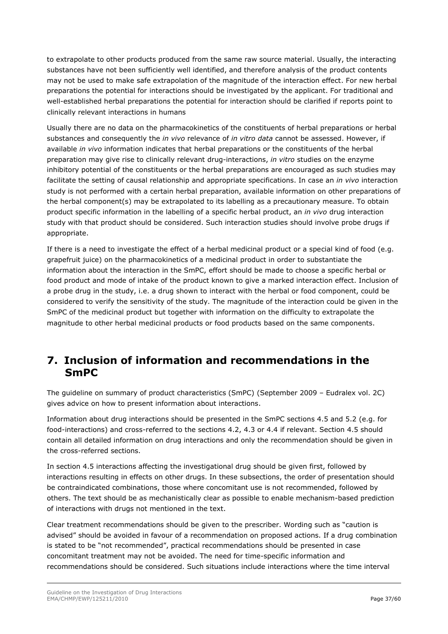to extrapolate to other products produced from the same raw source material. Usually, the interacting substances have not been sufficiently well identified, and therefore analysis of the product contents may not be used to make safe extrapolation of the magnitude of the interaction effect. For new herbal preparations the potential for interactions should be investigated by the applicant. For traditional and well-established herbal preparations the potential for interaction should be clarified if reports point to clinically relevant interactions in humans

Usually there are no data on the pharmacokinetics of the constituents of herbal preparations or herbal substances and consequently the *in vivo* relevance of *in vitro data* cannot be assessed. However, if available *in vivo* information indicates that herbal preparations or the constituents of the herbal preparation may give rise to clinically relevant drug-interactions, *in vitro* studies on the enzyme inhibitory potential of the constituents or the herbal preparations are encouraged as such studies may facilitate the setting of causal relationship and appropriate specifications. In case an *in vivo* interaction study is not performed with a certain herbal preparation, available information on other preparations of the herbal component(s) may be extrapolated to its labelling as a precautionary measure. To obtain product specific information in the labelling of a specific herbal product, an *in vivo* drug interaction study with that product should be considered. Such interaction studies should involve probe drugs if appropriate.

If there is a need to investigate the effect of a herbal medicinal product or a special kind of food (e.g. grapefruit juice) on the pharmacokinetics of a medicinal product in order to substantiate the information about the interaction in the SmPC, effort should be made to choose a specific herbal or food product and mode of intake of the product known to give a marked interaction effect. Inclusion of a probe drug in the study, i.e. a drug shown to interact with the herbal or food component, could be considered to verify the sensitivity of the study. The magnitude of the interaction could be given in the SmPC of the medicinal product but together with information on the difficulty to extrapolate the magnitude to other herbal medicinal products or food products based on the same components.

## <span id="page-36-0"></span>**7. Inclusion of information and recommendations in the SmPC**

The guideline on summary of product characteristics (SmPC) (September 2009 – Eudralex vol. 2C) gives advice on how to present information about interactions.

Information about drug interactions should be presented in the SmPC sections 4.5 and 5.2 (e.g. for food-interactions) and cross-referred to the sections 4.2, 4.3 or 4.4 if relevant. Section 4.5 should contain all detailed information on drug interactions and only the recommendation should be given in the cross-referred sections.

In section 4.5 interactions affecting the investigational drug should be given first, followed by interactions resulting in effects on other drugs. In these subsections, the order of presentation should be contraindicated combinations, those where concomitant use is not recommended, followed by others. The text should be as mechanistically clear as possible to enable mechanism-based prediction of interactions with drugs not mentioned in the text.

Clear treatment recommendations should be given to the prescriber. Wording such as "caution is advised" should be avoided in favour of a recommendation on proposed actions. If a drug combination is stated to be "not recommended", practical recommendations should be presented in case concomitant treatment may not be avoided. The need for time-specific information and recommendations should be considered. Such situations include interactions where the time interval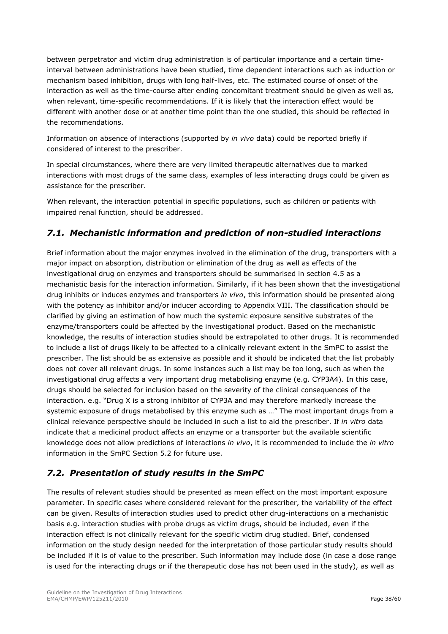between perpetrator and victim drug administration is of particular importance and a certain timeinterval between administrations have been studied, time dependent interactions such as induction or mechanism based inhibition, drugs with long half-lives, etc. The estimated course of onset of the interaction as well as the time-course after ending concomitant treatment should be given as well as, when relevant, time-specific recommendations. If it is likely that the interaction effect would be different with another dose or at another time point than the one studied, this should be reflected in the recommendations.

Information on absence of interactions (supported by *in vivo* data) could be reported briefly if considered of interest to the prescriber.

In special circumstances, where there are very limited therapeutic alternatives due to marked interactions with most drugs of the same class, examples of less interacting drugs could be given as assistance for the prescriber.

When relevant, the interaction potential in specific populations, such as children or patients with impaired renal function, should be addressed.

## <span id="page-37-0"></span>*7.1. Mechanistic information and prediction of non-studied interactions*

Brief information about the major enzymes involved in the elimination of the drug, transporters with a major impact on absorption, distribution or elimination of the drug as well as effects of the investigational drug on enzymes and transporters should be summarised in section 4.5 as a mechanistic basis for the interaction information. Similarly, if it has been shown that the investigational drug inhibits or induces enzymes and transporters *in vivo*, this information should be presented along with the potency as inhibitor and/or inducer according to Appendix VIII. The classification should be clarified by giving an estimation of how much the systemic exposure sensitive substrates of the enzyme/transporters could be affected by the investigational product. Based on the mechanistic knowledge, the results of interaction studies should be extrapolated to other drugs. It is recommended to include a list of drugs likely to be affected to a clinically relevant extent in the SmPC to assist the prescriber. The list should be as extensive as possible and it should be indicated that the list probably does not cover all relevant drugs. In some instances such a list may be too long, such as when the investigational drug affects a very important drug metabolising enzyme (e.g. CYP3A4). In this case, drugs should be selected for inclusion based on the severity of the clinical consequences of the interaction. e.g. "Drug X is a strong inhibitor of CYP3A and may therefore markedly increase the systemic exposure of drugs metabolised by this enzyme such as …" The most important drugs from a clinical relevance perspective should be included in such a list to aid the prescriber. If *in vitro* data indicate that a medicinal product affects an enzyme or a transporter but the available scientific knowledge does not allow predictions of interactions *in vivo*, it is recommended to include the *in vitro* information in the SmPC Section 5.2 for future use.

## <span id="page-37-1"></span>*7.2. Presentation of study results in the SmPC*

The results of relevant studies should be presented as mean effect on the most important exposure parameter. In specific cases where considered relevant for the prescriber, the variability of the effect can be given. Results of interaction studies used to predict other drug-interactions on a mechanistic basis e.g. interaction studies with probe drugs as victim drugs, should be included, even if the interaction effect is not clinically relevant for the specific victim drug studied. Brief, condensed information on the study design needed for the interpretation of those particular study results should be included if it is of value to the prescriber. Such information may include dose (in case a dose range is used for the interacting drugs or if the therapeutic dose has not been used in the study), as well as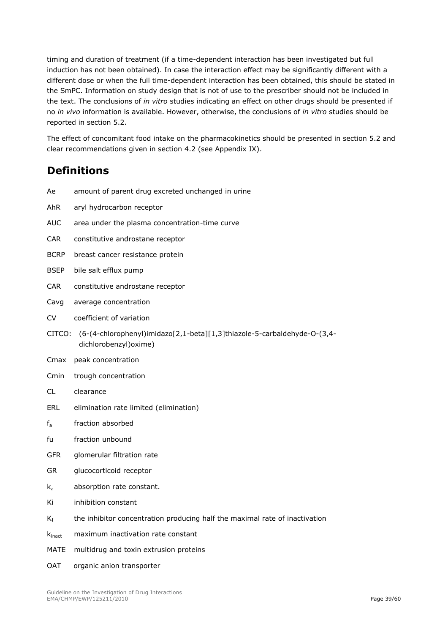timing and duration of treatment (if a time-dependent interaction has been investigated but full induction has not been obtained). In case the interaction effect may be significantly different with a different dose or when the full time-dependent interaction has been obtained, this should be stated in the SmPC. Information on study design that is not of use to the prescriber should not be included in the text. The conclusions of *in vitro* studies indicating an effect on other drugs should be presented if no *in vivo* information is available. However, otherwise, the conclusions of *in vitro* studies should be reported in section 5.2.

The effect of concomitant food intake on the pharmacokinetics should be presented in section 5.2 and clear recommendations given in section 4.2 (see Appendix IX).

## <span id="page-38-0"></span>**Definitions**

| Ae                 | amount of parent drug excreted unchanged in urine                                                  |
|--------------------|----------------------------------------------------------------------------------------------------|
| AhR                | aryl hydrocarbon receptor                                                                          |
| <b>AUC</b>         | area under the plasma concentration-time curve                                                     |
| <b>CAR</b>         | constitutive androstane receptor                                                                   |
| <b>BCRP</b>        | breast cancer resistance protein                                                                   |
| <b>BSEP</b>        | bile salt efflux pump                                                                              |
| CAR.               | constitutive androstane receptor                                                                   |
| Cavg               | average concentration                                                                              |
| <b>CV</b>          | coefficient of variation                                                                           |
| CITCO:             | (6-(4-chlorophenyl)imidazo[2,1-beta][1,3]thiazole-5-carbaldehyde-O-(3,4-<br>dichlorobenzyl) oxime) |
| Cmax               | peak concentration                                                                                 |
| Cmin               | trough concentration                                                                               |
| CL.                | clearance                                                                                          |
| ERL                | elimination rate limited (elimination)                                                             |
| $f_a$              | fraction absorbed                                                                                  |
| fu                 | fraction unbound                                                                                   |
| <b>GFR</b>         | glomerular filtration rate                                                                         |
| GR.                | glucocorticoid receptor                                                                            |
| $k_a$              | absorption rate constant.                                                                          |
| Κi                 | inhibition constant                                                                                |
| $K_I$              | the inhibitor concentration producing half the maximal rate of inactivation                        |
| $k_{\text{inact}}$ | maximum inactivation rate constant                                                                 |
| <b>MATE</b>        | multidrug and toxin extrusion proteins                                                             |

OAT organic anion transporter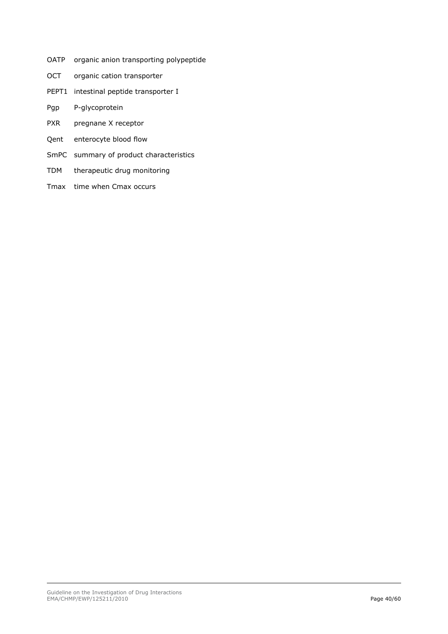- OATP organic anion transporting polypeptide
- OCT organic cation transporter
- PEPT1 intestinal peptide transporter I
- Pgp P-glycoprotein
- PXR pregnane X receptor
- Qent enterocyte blood flow
- SmPC summary of product characteristics
- TDM therapeutic drug monitoring
- Tmax time when Cmax occurs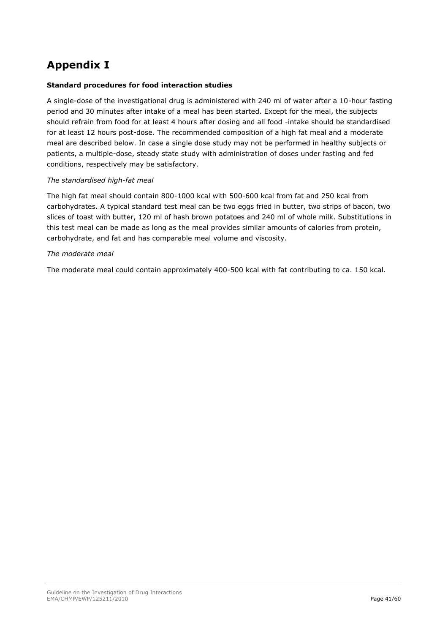## <span id="page-40-0"></span>**Appendix I**

#### **Standard procedures for food interaction studies**

A single-dose of the investigational drug is administered with 240 ml of water after a 10-hour fasting period and 30 minutes after intake of a meal has been started. Except for the meal, the subjects should refrain from food for at least 4 hours after dosing and all food -intake should be standardised for at least 12 hours post-dose. The recommended composition of a high fat meal and a moderate meal are described below. In case a single dose study may not be performed in healthy subjects or patients, a multiple-dose, steady state study with administration of doses under fasting and fed conditions, respectively may be satisfactory.

#### *The standardised high-fat meal*

The high fat meal should contain 800-1000 kcal with 500-600 kcal from fat and 250 kcal from carbohydrates. A typical standard test meal can be two eggs fried in butter, two strips of bacon, two slices of toast with butter, 120 ml of hash brown potatoes and 240 ml of whole milk. Substitutions in this test meal can be made as long as the meal provides similar amounts of calories from protein, carbohydrate, and fat and has comparable meal volume and viscosity.

#### *The moderate meal*

The moderate meal could contain approximately 400-500 kcal with fat contributing to ca. 150 kcal.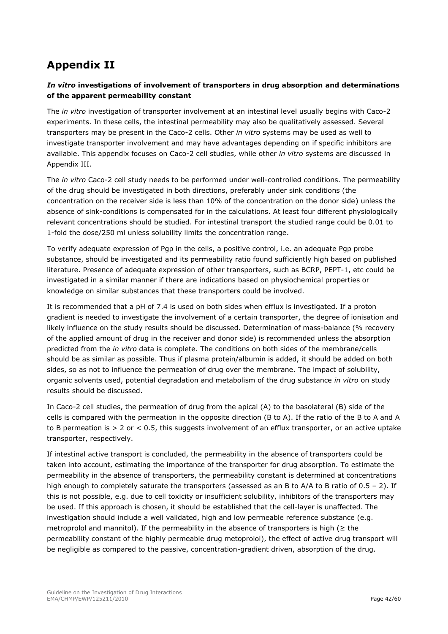## <span id="page-41-0"></span>**Appendix II**

## *In vitro* **investigations of involvement of transporters in drug absorption and determinations of the apparent permeability constant**

The *in vitro* investigation of transporter involvement at an intestinal level usually begins with Caco-2 experiments. In these cells, the intestinal permeability may also be qualitatively assessed. Several transporters may be present in the Caco-2 cells. Other *in vitro* systems may be used as well to investigate transporter involvement and may have advantages depending on if specific inhibitors are available. This appendix focuses on Caco-2 cell studies, while other *in vitro* systems are discussed in Appendix III.

The *in vitro* Caco-2 cell study needs to be performed under well-controlled conditions. The permeability of the drug should be investigated in both directions, preferably under sink conditions (the concentration on the receiver side is less than 10% of the concentration on the donor side) unless the absence of sink-conditions is compensated for in the calculations. At least four different physiologically relevant concentrations should be studied. For intestinal transport the studied range could be 0.01 to 1-fold the dose/250 ml unless solubility limits the concentration range.

To verify adequate expression of Pgp in the cells, a positive control, i.e. an adequate Pgp probe substance, should be investigated and its permeability ratio found sufficiently high based on published literature. Presence of adequate expression of other transporters, such as BCRP, PEPT-1, etc could be investigated in a similar manner if there are indications based on physiochemical properties or knowledge on similar substances that these transporters could be involved.

It is recommended that a pH of 7.4 is used on both sides when efflux is investigated. If a proton gradient is needed to investigate the involvement of a certain transporter, the degree of ionisation and likely influence on the study results should be discussed. Determination of mass-balance (% recovery of the applied amount of drug in the receiver and donor side) is recommended unless the absorption predicted from the *in vitro* data is complete. The conditions on both sides of the membrane/cells should be as similar as possible. Thus if plasma protein/albumin is added, it should be added on both sides, so as not to influence the permeation of drug over the membrane. The impact of solubility, organic solvents used, potential degradation and metabolism of the drug substance *in vitro* on study results should be discussed.

In Caco-2 cell studies, the permeation of drug from the apical (A) to the basolateral (B) side of the cells is compared with the permeation in the opposite direction (B to A). If the ratio of the B to A and A to B permeation is  $> 2$  or  $< 0.5$ , this suggests involvement of an efflux transporter, or an active uptake transporter, respectively.

If intestinal active transport is concluded, the permeability in the absence of transporters could be taken into account, estimating the importance of the transporter for drug absorption. To estimate the permeability in the absence of transporters, the permeability constant is determined at concentrations high enough to completely saturate the transporters (assessed as an B to A/A to B ratio of 0.5 – 2). If this is not possible, e.g. due to cell toxicity or insufficient solubility, inhibitors of the transporters may be used. If this approach is chosen, it should be established that the cell-layer is unaffected. The investigation should include a well validated, high and low permeable reference substance (e.g. metroprolol and mannitol). If the permeability in the absence of transporters is high ( $\geq$  the permeability constant of the highly permeable drug metoprolol), the effect of active drug transport will be negligible as compared to the passive, concentration-gradient driven, absorption of the drug.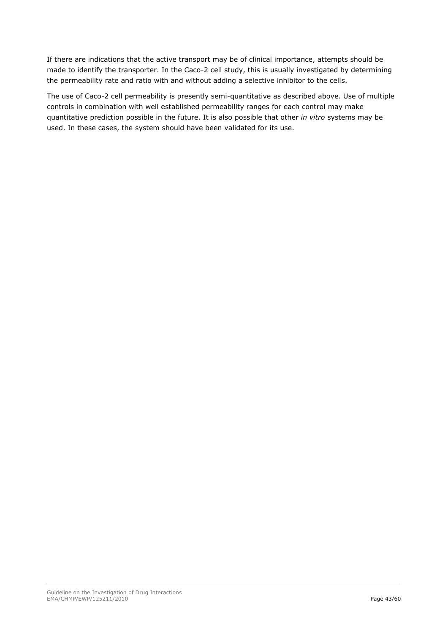If there are indications that the active transport may be of clinical importance, attempts should be made to identify the transporter. In the Caco-2 cell study, this is usually investigated by determining the permeability rate and ratio with and without adding a selective inhibitor to the cells.

The use of Caco-2 cell permeability is presently semi-quantitative as described above. Use of multiple controls in combination with well established permeability ranges for each control may make quantitative prediction possible in the future. It is also possible that other *in vitro* systems may be used. In these cases, the system should have been validated for its use.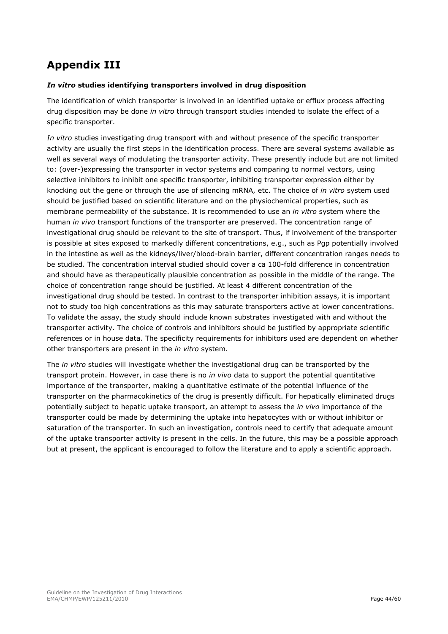# <span id="page-43-0"></span>**Appendix III**

#### *In vitro* **studies identifying transporters involved in drug disposition**

The identification of which transporter is involved in an identified uptake or efflux process affecting drug disposition may be done *in vitro* through transport studies intended to isolate the effect of a specific transporter.

*In vitro* studies investigating drug transport with and without presence of the specific transporter activity are usually the first steps in the identification process. There are several systems available as well as several ways of modulating the transporter activity. These presently include but are not limited to: (over-)expressing the transporter in vector systems and comparing to normal vectors, using selective inhibitors to inhibit one specific transporter, inhibiting transporter expression either by knocking out the gene or through the use of silencing mRNA, etc. The choice of *in vitro* system used should be justified based on scientific literature and on the physiochemical properties, such as membrane permeability of the substance. It is recommended to use an *in vitro* system where the human *in vivo* transport functions of the transporter are preserved. The concentration range of investigational drug should be relevant to the site of transport. Thus, if involvement of the transporter is possible at sites exposed to markedly different concentrations, e.g., such as Pgp potentially involved in the intestine as well as the kidneys/liver/blood-brain barrier, different concentration ranges needs to be studied. The concentration interval studied should cover a ca 100-fold difference in concentration and should have as therapeutically plausible concentration as possible in the middle of the range. The choice of concentration range should be justified. At least 4 different concentration of the investigational drug should be tested. In contrast to the transporter inhibition assays, it is important not to study too high concentrations as this may saturate transporters active at lower concentrations. To validate the assay, the study should include known substrates investigated with and without the transporter activity. The choice of controls and inhibitors should be justified by appropriate scientific references or in house data. The specificity requirements for inhibitors used are dependent on whether other transporters are present in the *in vitro* system.

The *in vitro* studies will investigate whether the investigational drug can be transported by the transport protein. However, in case there is no *in vivo* data to support the potential quantitative importance of the transporter, making a quantitative estimate of the potential influence of the transporter on the pharmacokinetics of the drug is presently difficult. For hepatically eliminated drugs potentially subject to hepatic uptake transport, an attempt to assess the *in vivo* importance of the transporter could be made by determining the uptake into hepatocytes with or without inhibitor or saturation of the transporter. In such an investigation, controls need to certify that adequate amount of the uptake transporter activity is present in the cells. In the future, this may be a possible approach but at present, the applicant is encouraged to follow the literature and to apply a scientific approach.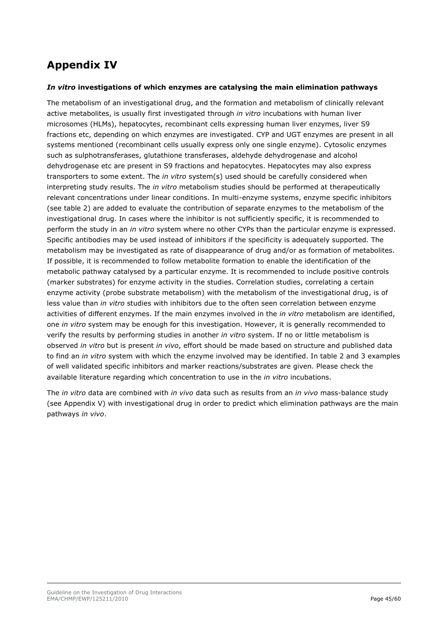# <span id="page-44-0"></span>**Appendix IV**

#### *In vitro* **investigations of which enzymes are catalysing the main elimination pathways**

The metabolism of an investigational drug, and the formation and metabolism of clinically relevant active metabolites, is usually first investigated through *in vitro* incubations with human liver microsomes (HLMs), hepatocytes, recombinant cells expressing human liver enzymes, liver S9 fractions etc, depending on which enzymes are investigated. CYP and UGT enzymes are present in all systems mentioned (recombinant cells usually express only one single enzyme). Cytosolic enzymes such as sulphotransferases, glutathione transferases, aldehyde dehydrogenase and alcohol dehydrogenase etc are present in S9 fractions and hepatocytes. Hepatocytes may also express transporters to some extent. The *in vitro* system(s) used should be carefully considered when interpreting study results. The *in vitro* metabolism studies should be performed at therapeutically relevant concentrations under linear conditions. In multi-enzyme systems, enzyme specific inhibitors (see table 2) are added to evaluate the contribution of separate enzymes to the metabolism of the investigational drug. In cases where the inhibitor is not sufficiently specific, it is recommended to perform the study in an *in vitro* system where no other CYPs than the particular enzyme is expressed. Specific antibodies may be used instead of inhibitors if the specificity is adequately supported. The metabolism may be investigated as rate of disappearance of drug and/or as formation of metabolites. If possible, it is recommended to follow metabolite formation to enable the identification of the metabolic pathway catalysed by a particular enzyme. It is recommended to include positive controls (marker substrates) for enzyme activity in the studies. Correlation studies, correlating a certain enzyme activity (probe substrate metabolism) with the metabolism of the investigational drug, is of less value than *in vitro* studies with inhibitors due to the often seen correlation between enzyme activities of different enzymes. If the main enzymes involved in the *in vitro* metabolism are identified, one *in vitro* system may be enough for this investigation. However, it is generally recommended to verify the results by performing studies in another *in vitro* system. If no or little metabolism is observed *in vitro* but is present *in vivo*, effort should be made based on structure and published data to find an *in vitro* system with which the enzyme involved may be identified. In table 2 and 3 examples of well validated specific inhibitors and marker reactions/substrates are given. Please check the available literature regarding which concentration to use in the *in vitro* incubations.

The *in vitro* data are combined with *in vivo* data such as results from an *in vivo* mass-balance study (see Appendix V) with investigational drug in order to predict which elimination pathways are the main pathways *in vivo*.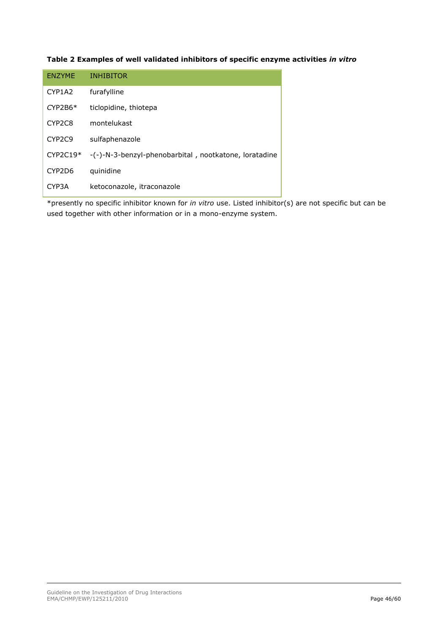#### **Table 2 Examples of well validated inhibitors of specific enzyme activities** *in vitro*

| <b>ENZYME</b>                   | <b>INHIBITOR</b>                                      |
|---------------------------------|-------------------------------------------------------|
| CYP1A2                          | furafylline                                           |
| $CYP2B6*$                       | ticlopidine, thiotepa                                 |
| CYP <sub>2</sub> C <sub>8</sub> | montelukast                                           |
| CYP <sub>2</sub> C <sub>9</sub> | sulfaphenazole                                        |
| $CYP2C19*$                      | -(-)-N-3-benzyl-phenobarbital, nootkatone, loratadine |
| CYP2D6                          | quinidine                                             |
| CYP3A                           | ketoconazole, itraconazole                            |

\*presently no specific inhibitor known for *in vitro* use. Listed inhibitor(s) are not specific but can be used together with other information or in a mono-enzyme system.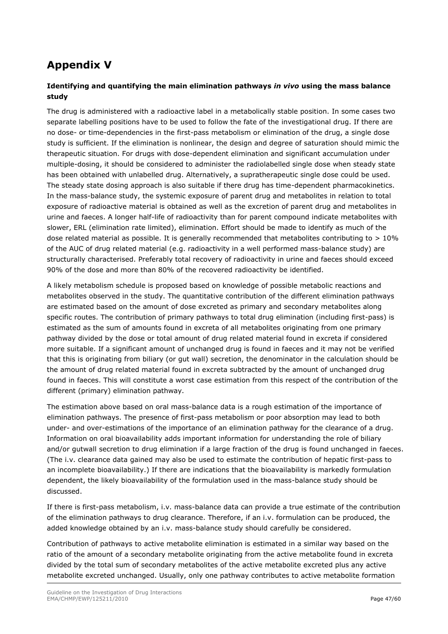## <span id="page-46-0"></span>**Appendix V**

#### **Identifying and quantifying the main elimination pathways** *in vivo* **using the mass balance study**

The drug is administered with a radioactive label in a metabolically stable position. In some cases two separate labelling positions have to be used to follow the fate of the investigational drug. If there are no dose- or time-dependencies in the first-pass metabolism or elimination of the drug, a single dose study is sufficient. If the elimination is nonlinear, the design and degree of saturation should mimic the therapeutic situation. For drugs with dose-dependent elimination and significant accumulation under multiple-dosing, it should be considered to administer the radiolabelled single dose when steady state has been obtained with unlabelled drug. Alternatively, a supratherapeutic single dose could be used. The steady state dosing approach is also suitable if there drug has time-dependent pharmacokinetics. In the mass-balance study, the systemic exposure of parent drug and metabolites in relation to total exposure of radioactive material is obtained as well as the excretion of parent drug and metabolites in urine and faeces. A longer half-life of radioactivity than for parent compound indicate metabolites with slower, ERL (elimination rate limited), elimination. Effort should be made to identify as much of the dose related material as possible. It is generally recommended that metabolites contributing to > 10% of the AUC of drug related material (e.g. radioactivity in a well performed mass-balance study) are structurally characterised. Preferably total recovery of radioactivity in urine and faeces should exceed 90% of the dose and more than 80% of the recovered radioactivity be identified.

A likely metabolism schedule is proposed based on knowledge of possible metabolic reactions and metabolites observed in the study. The quantitative contribution of the different elimination pathways are estimated based on the amount of dose excreted as primary and secondary metabolites along specific routes. The contribution of primary pathways to total drug elimination (including first-pass) is estimated as the sum of amounts found in excreta of all metabolites originating from one primary pathway divided by the dose or total amount of drug related material found in excreta if considered more suitable. If a significant amount of unchanged drug is found in faeces and it may not be verified that this is originating from biliary (or gut wall) secretion, the denominator in the calculation should be the amount of drug related material found in excreta subtracted by the amount of unchanged drug found in faeces. This will constitute a worst case estimation from this respect of the contribution of the different (primary) elimination pathway.

The estimation above based on oral mass-balance data is a rough estimation of the importance of elimination pathways. The presence of first-pass metabolism or poor absorption may lead to both under- and over-estimations of the importance of an elimination pathway for the clearance of a drug. Information on oral bioavailability adds important information for understanding the role of biliary and/or gutwall secretion to drug elimination if a large fraction of the drug is found unchanged in faeces. (The i.v. clearance data gained may also be used to estimate the contribution of hepatic first-pass to an incomplete bioavailability.) If there are indications that the bioavailability is markedly formulation dependent, the likely bioavailability of the formulation used in the mass-balance study should be discussed.

If there is first-pass metabolism, i.v. mass-balance data can provide a true estimate of the contribution of the elimination pathways to drug clearance. Therefore, if an i.v. formulation can be produced, the added knowledge obtained by an i.v. mass-balance study should carefully be considered.

Contribution of pathways to active metabolite elimination is estimated in a similar way based on the ratio of the amount of a secondary metabolite originating from the active metabolite found in excreta divided by the total sum of secondary metabolites of the active metabolite excreted plus any active metabolite excreted unchanged. Usually, only one pathway contributes to active metabolite formation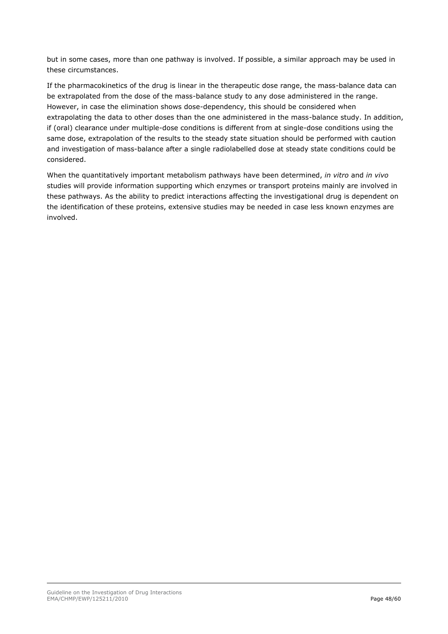but in some cases, more than one pathway is involved. If possible, a similar approach may be used in these circumstances.

If the pharmacokinetics of the drug is linear in the therapeutic dose range, the mass-balance data can be extrapolated from the dose of the mass-balance study to any dose administered in the range. However, in case the elimination shows dose-dependency, this should be considered when extrapolating the data to other doses than the one administered in the mass-balance study. In addition, if (oral) clearance under multiple-dose conditions is different from at single-dose conditions using the same dose, extrapolation of the results to the steady state situation should be performed with caution and investigation of mass-balance after a single radiolabelled dose at steady state conditions could be considered.

When the quantitatively important metabolism pathways have been determined, *in vitro* and *in vivo* studies will provide information supporting which enzymes or transport proteins mainly are involved in these pathways. As the ability to predict interactions affecting the investigational drug is dependent on the identification of these proteins, extensive studies may be needed in case less known enzymes are involved.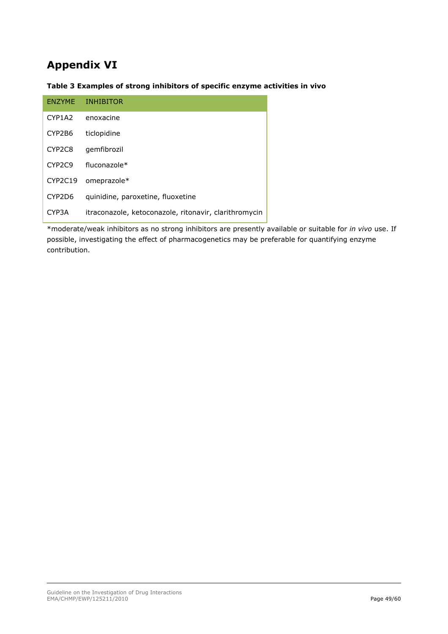# <span id="page-48-0"></span>**Appendix VI**

#### **Table 3 Examples of strong inhibitors of specific enzyme activities in vivo**

| ENZYME                          | <b>INHIBITOR</b>                                      |  |
|---------------------------------|-------------------------------------------------------|--|
| CYP1A2                          | enoxacine                                             |  |
| CYP2B6                          | ticlopidine                                           |  |
| CYP2C8                          | qemfibrozil                                           |  |
| CYP <sub>2</sub> C <sub>9</sub> | $fluconazole*$                                        |  |
| CYP2C19                         | omeprazole*                                           |  |
| CYP2D6                          | quinidine, paroxetine, fluoxetine                     |  |
| CYP3A                           | itraconazole, ketoconazole, ritonavir, clarithromycin |  |

\*moderate/weak inhibitors as no strong inhibitors are presently available or suitable for *in vivo* use. If possible, investigating the effect of pharmacogenetics may be preferable for quantifying enzyme contribution.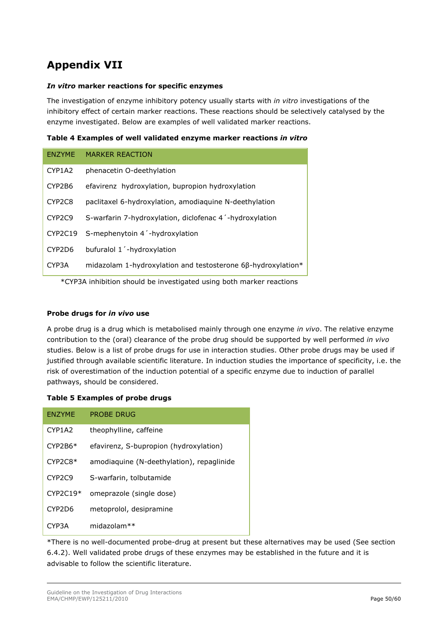# <span id="page-49-0"></span>**Appendix VII**

#### *In vitro* **marker reactions for specific enzymes**

The investigation of enzyme inhibitory potency usually starts with *in vitro* investigations of the inhibitory effect of certain marker reactions. These reactions should be selectively catalysed by the enzyme investigated. Below are examples of well validated marker reactions.

| Table 4 Examples of well validated enzyme marker reactions in vitro |  |  |  |  |
|---------------------------------------------------------------------|--|--|--|--|
|                                                                     |  |  |  |  |

| <b>ENZYME</b>                   | <b>MARKER REACTION</b>                                       |
|---------------------------------|--------------------------------------------------------------|
| CYP1A2                          | phenacetin O-deethylation                                    |
| CYP2B6                          | efavirenz hydroxylation, bupropion hydroxylation             |
| CYP <sub>2</sub> C <sub>8</sub> | paclitaxel 6-hydroxylation, amodiaguine N-deethylation       |
| CYP <sub>2</sub> C <sub>9</sub> | S-warfarin 7-hydroxylation, diclofenac 4 -hydroxylation      |
| CYP2C19                         | S-mephenytoin 4 -hydroxylation                               |
| CYP2D6                          | bufuralol 1'-hydroxylation                                   |
| CYP3A                           | midazolam 1-hydroxylation and testosterone 68-hydroxylation* |

\*CYP3A inhibition should be investigated using both marker reactions

#### **Probe drugs for** *in vivo* **use**

A probe drug is a drug which is metabolised mainly through one enzyme *in vivo*. The relative enzyme contribution to the (oral) clearance of the probe drug should be supported by well performed *in vivo* studies. Below is a list of probe drugs for use in interaction studies. Other probe drugs may be used if justified through available scientific literature. In induction studies the importance of specificity, i.e. the risk of overestimation of the induction potential of a specific enzyme due to induction of parallel pathways, should be considered.

#### **Table 5 Examples of probe drugs**

| <b>ENZYME</b>                   | <b>PROBE DRUG</b>                         |
|---------------------------------|-------------------------------------------|
| CYP <sub>1</sub> A <sub>2</sub> | theophylline, caffeine                    |
| $CYP2B6*$                       | efavirenz, S-bupropion (hydroxylation)    |
| $CYP2C8*$                       | amodiaguine (N-deethylation), repaglinide |
| CYP <sub>2</sub> C <sub>9</sub> | S-warfarin, tolbutamide                   |
| $CYP2C19*$                      | omeprazole (single dose)                  |
| CYP2D6                          | metoprolol, desipramine                   |
| CYP3A                           | $midazolam**$                             |

\*There is no well-documented probe-drug at present but these alternatives may be used (See section 6.4.2). Well validated probe drugs of these enzymes may be established in the future and it is advisable to follow the scientific literature.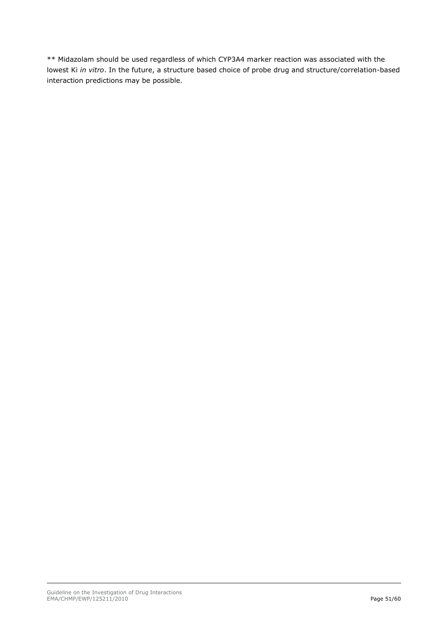\*\* Midazolam should be used regardless of which CYP3A4 marker reaction was associated with the lowest Ki *in vitro*. In the future, a structure based choice of probe drug and structure/correlation-based interaction predictions may be possible.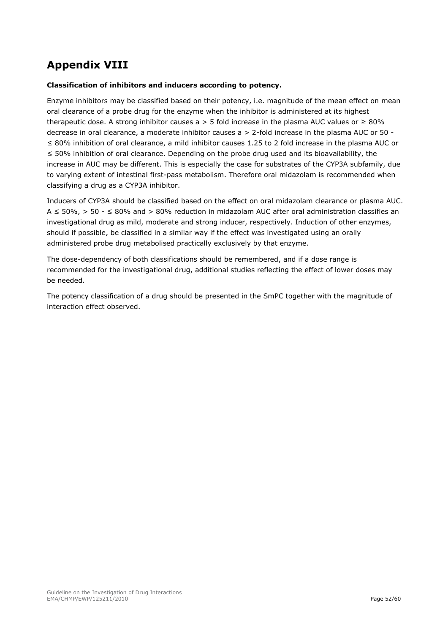# <span id="page-51-0"></span>**Appendix VIII**

#### **Classification of inhibitors and inducers according to potency.**

Enzyme inhibitors may be classified based on their potency, i.e. magnitude of the mean effect on mean oral clearance of a probe drug for the enzyme when the inhibitor is administered at its highest therapeutic dose. A strong inhibitor causes a > 5 fold increase in the plasma AUC values or  $\geq 80\%$ decrease in oral clearance, a moderate inhibitor causes a > 2-fold increase in the plasma AUC or 50 - ≤ 80% inhibition of oral clearance, a mild inhibitor causes 1.25 to 2 fold increase in the plasma AUC or ≤ 50% inhibition of oral clearance. Depending on the probe drug used and its bioavailability, the increase in AUC may be different. This is especially the case for substrates of the CYP3A subfamily, due to varying extent of intestinal first-pass metabolism. Therefore oral midazolam is recommended when classifying a drug as a CYP3A inhibitor.

Inducers of CYP3A should be classified based on the effect on oral midazolam clearance or plasma AUC. A ≤ 50%, > 50 - ≤ 80% and > 80% reduction in midazolam AUC after oral administration classifies an investigational drug as mild, moderate and strong inducer, respectively. Induction of other enzymes, should if possible, be classified in a similar way if the effect was investigated using an orally administered probe drug metabolised practically exclusively by that enzyme.

The dose-dependency of both classifications should be remembered, and if a dose range is recommended for the investigational drug, additional studies reflecting the effect of lower doses may be needed.

The potency classification of a drug should be presented in the SmPC together with the magnitude of interaction effect observed.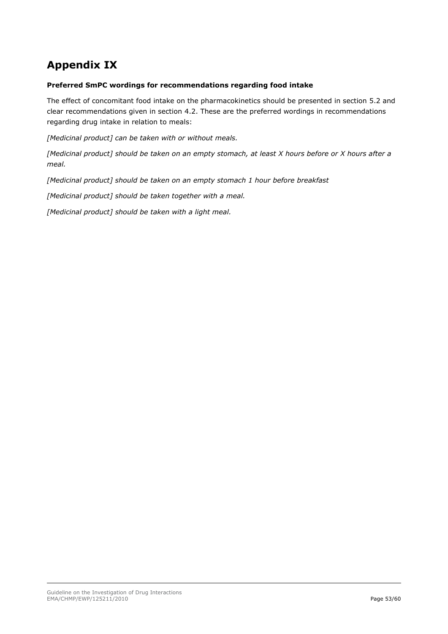# <span id="page-52-0"></span>**Appendix IX**

#### **Preferred SmPC wordings for recommendations regarding food intake**

The effect of concomitant food intake on the pharmacokinetics should be presented in section 5.2 and clear recommendations given in section 4.2. These are the preferred wordings in recommendations regarding drug intake in relation to meals:

*[Medicinal product] can be taken with or without meals.*

*[Medicinal product] should be taken on an empty stomach, at least X hours before or X hours after a meal.*

*[Medicinal product] should be taken on an empty stomach 1 hour before breakfast*

*[Medicinal product] should be taken together with a meal.*

*[Medicinal product] should be taken with a light meal.*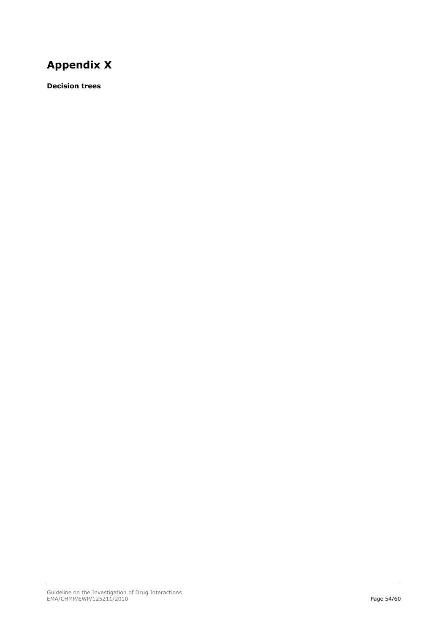# <span id="page-53-0"></span>**Appendix X**

**Decision trees**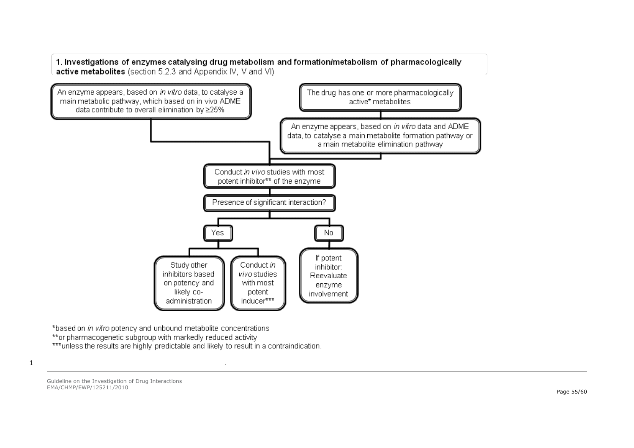1. Investigations of enzymes catalysing drug metabolism and formation/metabolism of pharmacologically active metabolites (section 5.2.3 and Appendix IV, V and VI)



\*based on in vitro potency and unbound metabolite concentrations \*\*or pharmacogenetic subgroup with markedly reduced activity \*\*\*unless the results are highly predictable and likely to result in a contraindication.

1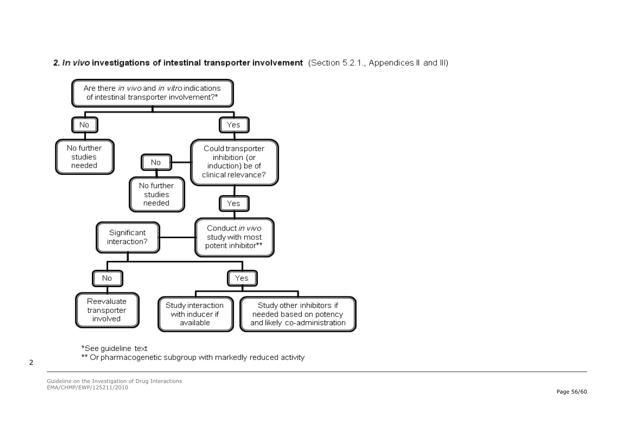2. In vivo investigations of intestinal transporter involvement (Section 5.2.1., Appendices II and III)



\*See quideline\_text

\*\* Or pharmacogenetic subgroup with markedly reduced activity

2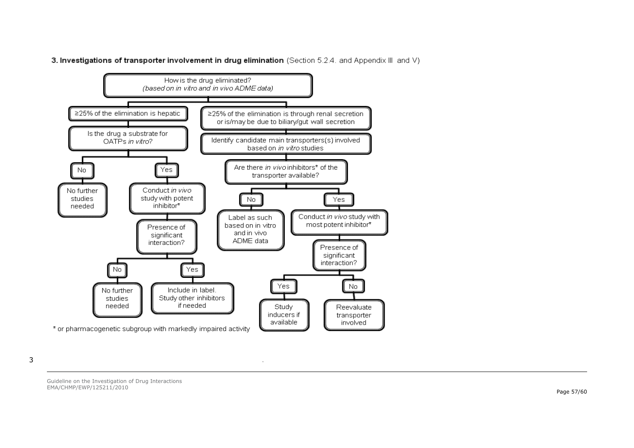



 $\cdot$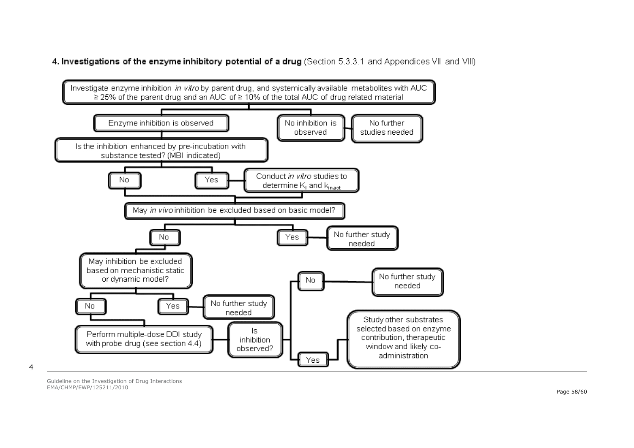4. Investigations of the enzyme inhibitory potential of a drug (Section 5.3.3.1 and Appendices VII and VIII)



4

Guideline on the Investigation of Drug Interactions EMA/CHMP/EWP/125211/2010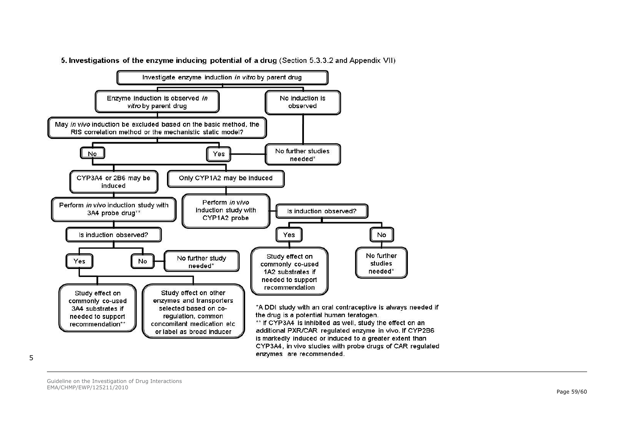